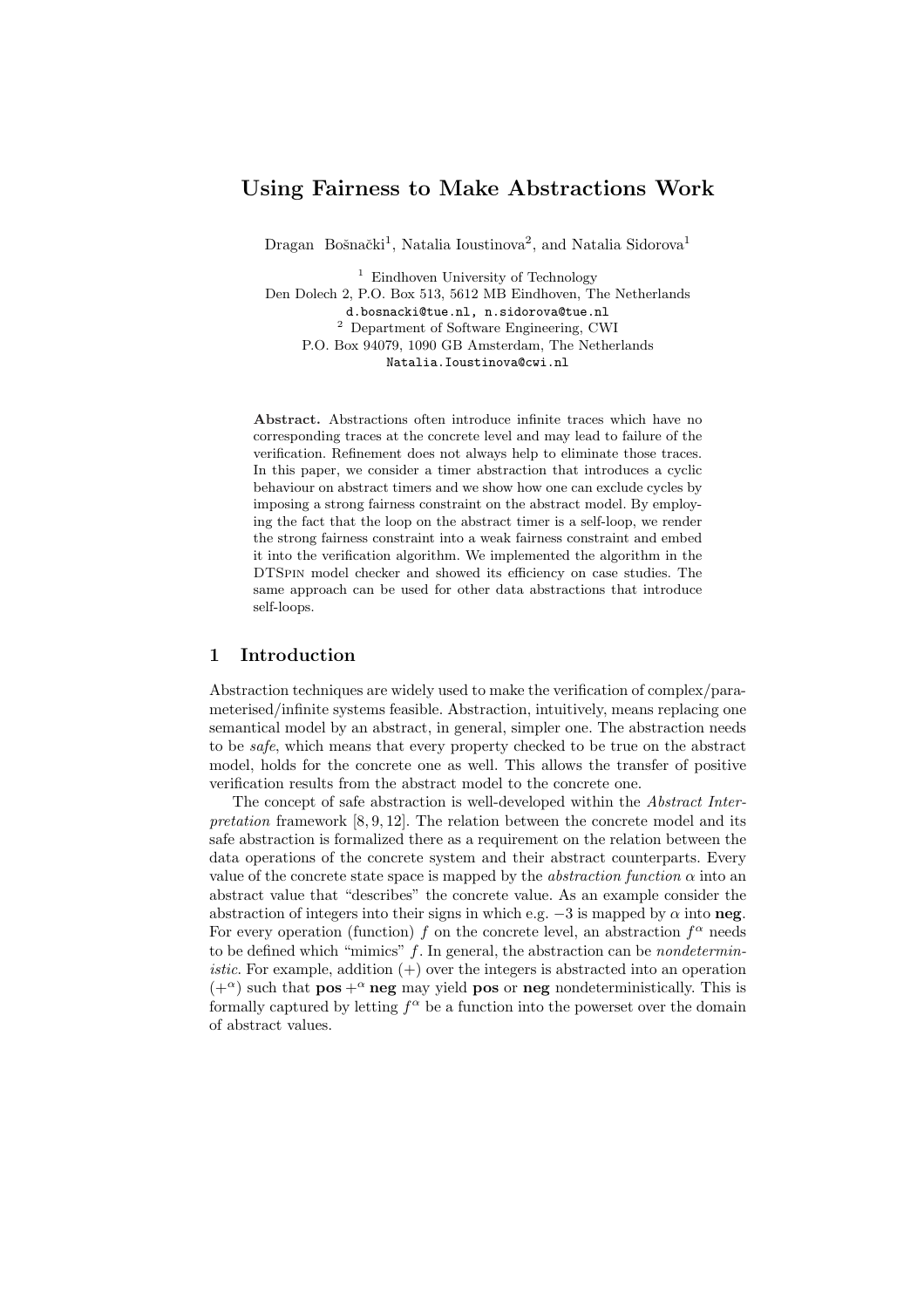# Using Fairness to Make Abstractions Work

Dragan Bošnački<sup>1</sup>, Natalia Ioustinova<sup>2</sup>, and Natalia Sidorova<sup>1</sup>

 $1$  Eindhoven University of Technology Den Dolech 2, P.O. Box 513, 5612 MB Eindhoven, The Netherlands d.bosnacki@tue.nl, n.sidorova@tue.nl <sup>2</sup> Department of Software Engineering, CWI P.O. Box 94079, 1090 GB Amsterdam, The Netherlands Natalia.Ioustinova@cwi.nl

Abstract. Abstractions often introduce infinite traces which have no corresponding traces at the concrete level and may lead to failure of the verification. Refinement does not always help to eliminate those traces. In this paper, we consider a timer abstraction that introduces a cyclic behaviour on abstract timers and we show how one can exclude cycles by imposing a strong fairness constraint on the abstract model. By employing the fact that the loop on the abstract timer is a self-loop, we render the strong fairness constraint into a weak fairness constraint and embed it into the verification algorithm. We implemented the algorithm in the DTSpin model checker and showed its efficiency on case studies. The same approach can be used for other data abstractions that introduce self-loops.

## 1 Introduction

Abstraction techniques are widely used to make the verification of complex/parameterised/infinite systems feasible. Abstraction, intuitively, means replacing one semantical model by an abstract, in general, simpler one. The abstraction needs to be safe, which means that every property checked to be true on the abstract model, holds for the concrete one as well. This allows the transfer of positive verification results from the abstract model to the concrete one.

The concept of safe abstraction is well-developed within the Abstract Interpretation framework  $[8, 9, 12]$ . The relation between the concrete model and its safe abstraction is formalized there as a requirement on the relation between the data operations of the concrete system and their abstract counterparts. Every value of the concrete state space is mapped by the *abstraction function*  $\alpha$  into an abstract value that "describes" the concrete value. As an example consider the abstraction of integers into their signs in which e.g.  $-3$  is mapped by  $\alpha$  into **neg**. For every operation (function) f on the concrete level, an abstraction  $f^{\alpha}$  needs to be defined which "mimics"  $f$ . In general, the abstraction can be *nondeterministic.* For example, addition  $(+)$  over the integers is abstracted into an operation  $(+^{\alpha})$  such that pos  $+^{\alpha}$  neg may yield pos or neg nondeterministically. This is formally captured by letting  $f^{\alpha}$  be a function into the powerset over the domain of abstract values.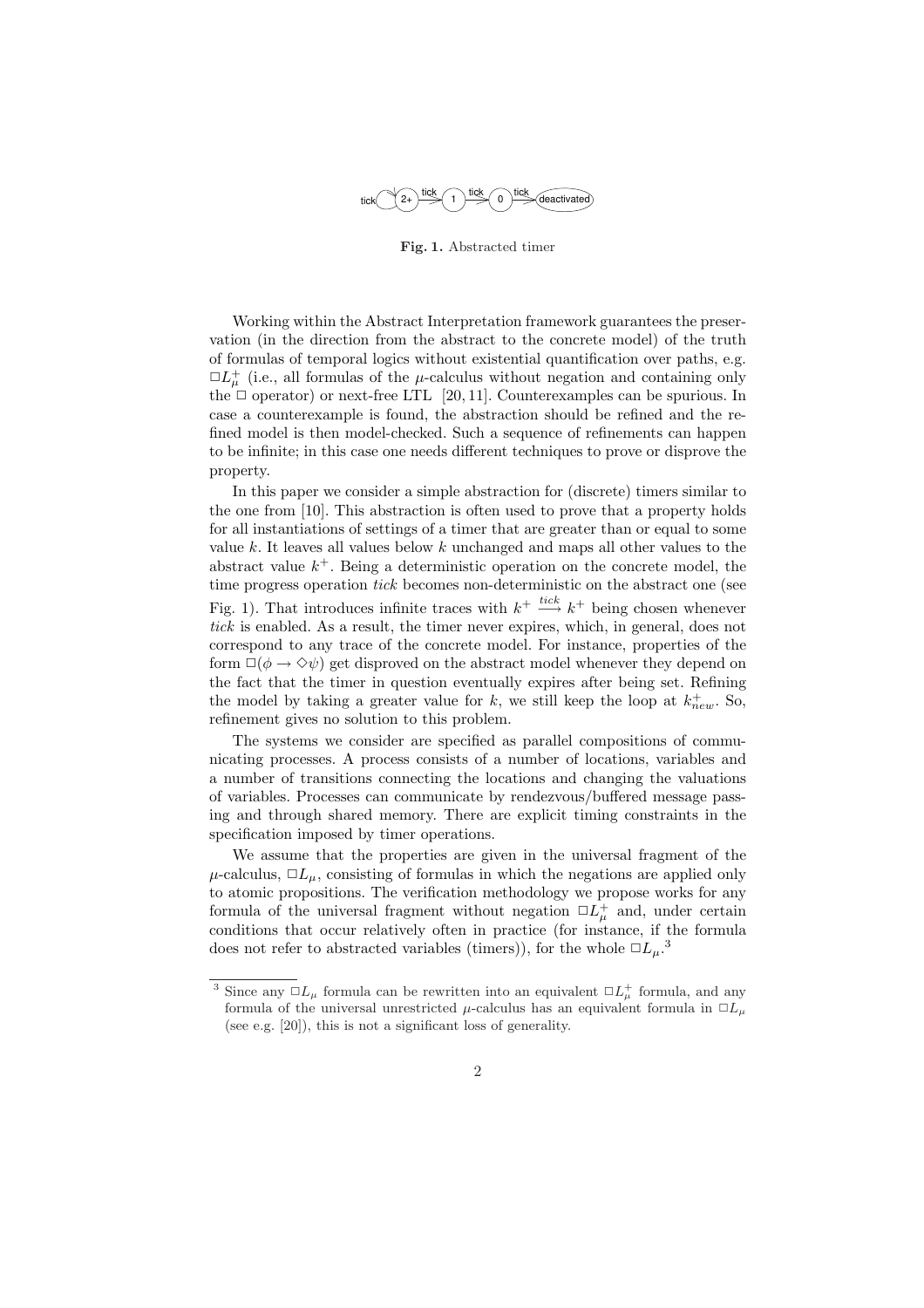

Fig. 1. Abstracted timer

Working within the Abstract Interpretation framework guarantees the preservation (in the direction from the abstract to the concrete model) of the truth of formulas of temporal logics without existential quantification over paths, e.g.  $\Box L^+_\mu$  (i.e., all formulas of the  $\mu$ -calculus without negation and containing only the  $\Box$  operator) or next-free LTL [20, 11]. Counterexamples can be spurious. In case a counterexample is found, the abstraction should be refined and the refined model is then model-checked. Such a sequence of refinements can happen to be infinite; in this case one needs different techniques to prove or disprove the property.

In this paper we consider a simple abstraction for (discrete) timers similar to the one from [10]. This abstraction is often used to prove that a property holds for all instantiations of settings of a timer that are greater than or equal to some value k. It leaves all values below  $k$  unchanged and maps all other values to the abstract value  $k^+$ . Being a deterministic operation on the concrete model, the time progress operation *tick* becomes non-deterministic on the abstract one (see Fig. 1). That introduces infinite traces with  $k^+ \stackrel{tick}{\longrightarrow} k^+$  being chosen whenever tick is enabled. As a result, the timer never expires, which, in general, does not correspond to any trace of the concrete model. For instance, properties of the form  $\Box(\phi \rightarrow \Diamond \psi)$  get disproved on the abstract model whenever they depend on the fact that the timer in question eventually expires after being set. Refining the model by taking a greater value for k, we still keep the loop at  $k_{new}^+$ . So, refinement gives no solution to this problem.

The systems we consider are specified as parallel compositions of communicating processes. A process consists of a number of locations, variables and a number of transitions connecting the locations and changing the valuations of variables. Processes can communicate by rendezvous/buffered message passing and through shared memory. There are explicit timing constraints in the specification imposed by timer operations.

We assume that the properties are given in the universal fragment of the  $\mu$ -calculus,  $\Box L_{\mu}$ , consisting of formulas in which the negations are applied only to atomic propositions. The verification methodology we propose works for any formula of the universal fragment without negation  $\Box L^+_\mu$  and, under certain conditions that occur relatively often in practice (for instance, if the formula does not refer to abstracted variables (timers)), for the whole  $\Box L_{\mu}$ .<sup>3</sup>

<sup>&</sup>lt;sup>3</sup> Since any  $\Box L_{\mu}$  formula can be rewritten into an equivalent  $\Box L_{\mu}^{+}$  formula, and any formula of the universal unrestricted  $\mu$ -calculus has an equivalent formula in  $\Box L_{\mu}$ (see e.g. [20]), this is not a significant loss of generality.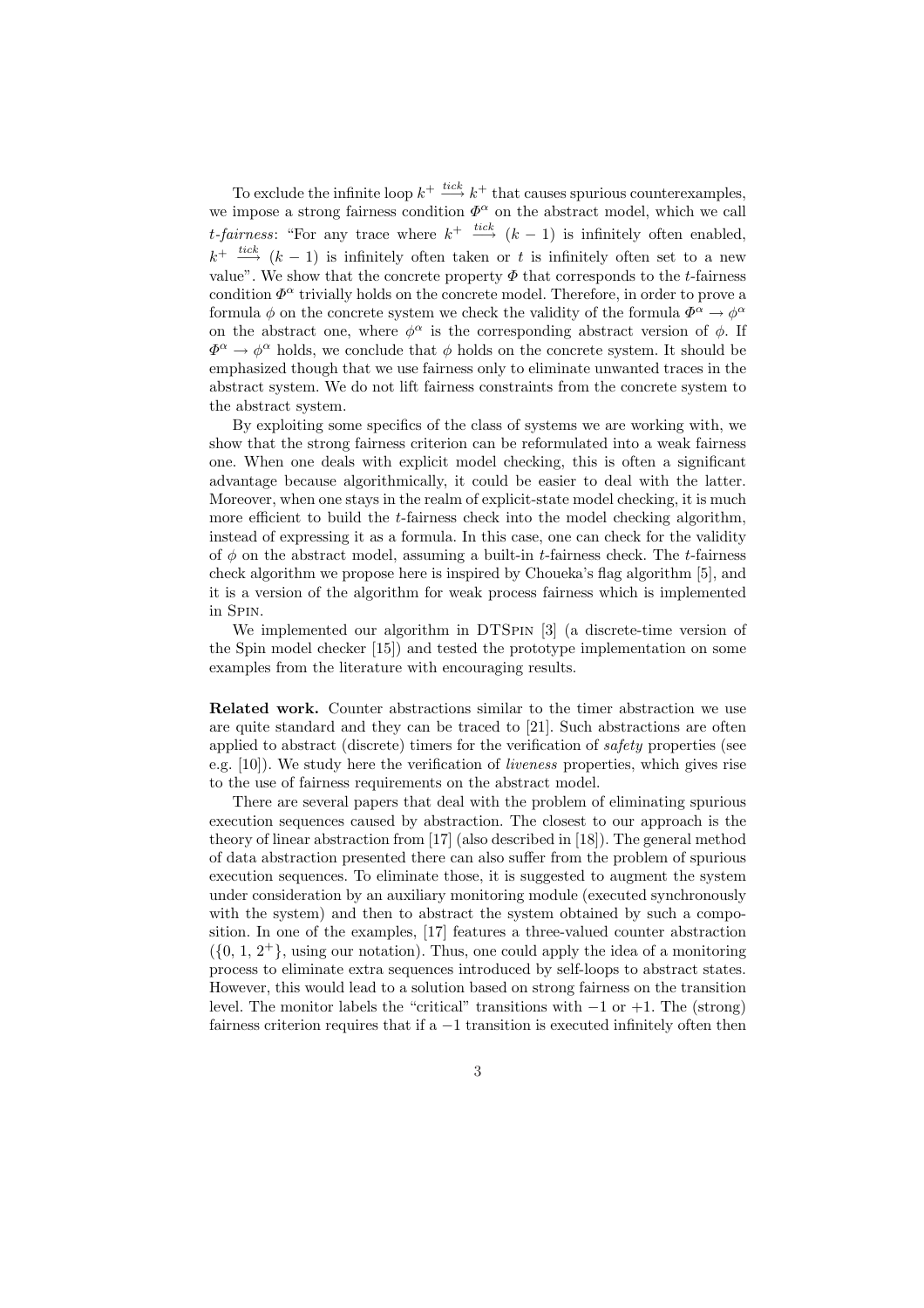To exclude the infinite loop  $k^+ \stackrel{tick}{\longrightarrow} k^+$  that causes spurious counterexamples, we impose a strong fairness condition  $\Phi^{\alpha}$  on the abstract model, which we call t-fairness: "For any trace where  $k^+ \stackrel{tick}{\longrightarrow} (k-1)$  is infinitely often enabled,  $k^+$   $\stackrel{tick}{\longrightarrow}$   $(k-1)$  is infinitely often taken or t is infinitely often set to a new value". We show that the concrete property  $\Phi$  that corresponds to the t-fairness condition  $\Phi^{\alpha}$  trivially holds on the concrete model. Therefore, in order to prove a formula  $\phi$  on the concrete system we check the validity of the formula  $\Phi^{\alpha} \to \phi^{\alpha}$ on the abstract one, where  $\phi^{\alpha}$  is the corresponding abstract version of  $\phi$ . If  $\Phi^{\alpha} \to \phi^{\alpha}$  holds, we conclude that  $\phi$  holds on the concrete system. It should be emphasized though that we use fairness only to eliminate unwanted traces in the abstract system. We do not lift fairness constraints from the concrete system to the abstract system.

By exploiting some specifics of the class of systems we are working with, we show that the strong fairness criterion can be reformulated into a weak fairness one. When one deals with explicit model checking, this is often a significant advantage because algorithmically, it could be easier to deal with the latter. Moreover, when one stays in the realm of explicit-state model checking, it is much more efficient to build the t-fairness check into the model checking algorithm, instead of expressing it as a formula. In this case, one can check for the validity of  $\phi$  on the abstract model, assuming a built-in t-fairness check. The t-fairness check algorithm we propose here is inspired by Choueka's flag algorithm [5], and it is a version of the algorithm for weak process fairness which is implemented in Spin.

We implemented our algorithm in DTSPIN [3] (a discrete-time version of the Spin model checker [15]) and tested the prototype implementation on some examples from the literature with encouraging results.

Related work. Counter abstractions similar to the timer abstraction we use are quite standard and they can be traced to [21]. Such abstractions are often applied to abstract (discrete) timers for the verification of safety properties (see e.g. [10]). We study here the verification of liveness properties, which gives rise to the use of fairness requirements on the abstract model.

There are several papers that deal with the problem of eliminating spurious execution sequences caused by abstraction. The closest to our approach is the theory of linear abstraction from [17] (also described in [18]). The general method of data abstraction presented there can also suffer from the problem of spurious execution sequences. To eliminate those, it is suggested to augment the system under consideration by an auxiliary monitoring module (executed synchronously with the system) and then to abstract the system obtained by such a composition. In one of the examples, [17] features a three-valued counter abstraction  $({0, 1, 2^+})$ , using our notation). Thus, one could apply the idea of a monitoring process to eliminate extra sequences introduced by self-loops to abstract states. However, this would lead to a solution based on strong fairness on the transition level. The monitor labels the "critical" transitions with  $-1$  or  $+1$ . The (strong) fairness criterion requires that if  $a -1$  transition is executed infinitely often then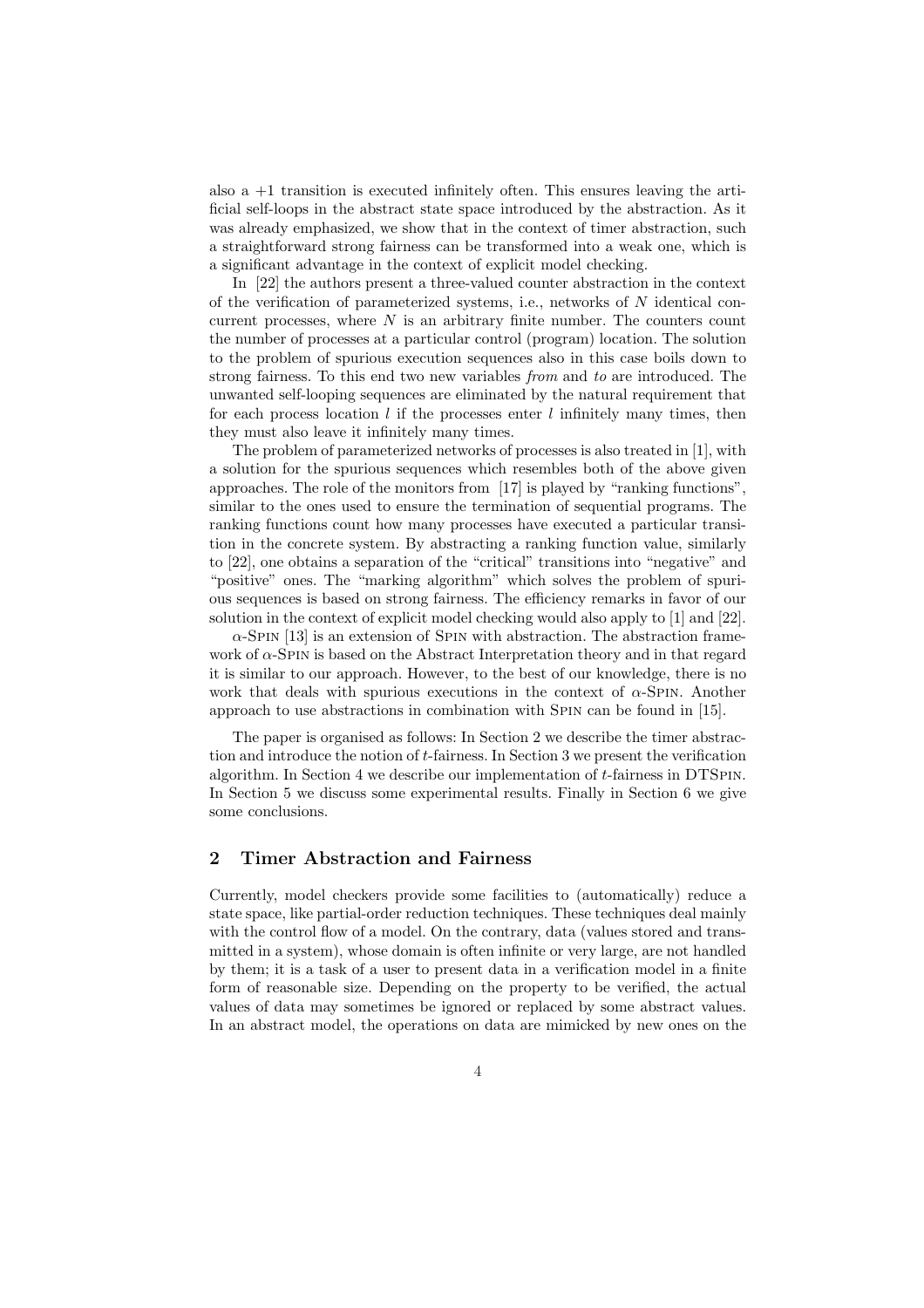also  $a +1$  transition is executed infinitely often. This ensures leaving the artificial self-loops in the abstract state space introduced by the abstraction. As it was already emphasized, we show that in the context of timer abstraction, such a straightforward strong fairness can be transformed into a weak one, which is a significant advantage in the context of explicit model checking.

In [22] the authors present a three-valued counter abstraction in the context of the verification of parameterized systems, i.e., networks of N identical concurrent processes, where  $N$  is an arbitrary finite number. The counters count the number of processes at a particular control (program) location. The solution to the problem of spurious execution sequences also in this case boils down to strong fairness. To this end two new variables from and to are introduced. The unwanted self-looping sequences are eliminated by the natural requirement that for each process location  $l$  if the processes enter  $l$  infinitely many times, then they must also leave it infinitely many times.

The problem of parameterized networks of processes is also treated in [1], with a solution for the spurious sequences which resembles both of the above given approaches. The role of the monitors from [17] is played by "ranking functions", similar to the ones used to ensure the termination of sequential programs. The ranking functions count how many processes have executed a particular transition in the concrete system. By abstracting a ranking function value, similarly to [22], one obtains a separation of the "critical" transitions into "negative" and "positive" ones. The "marking algorithm" which solves the problem of spurious sequences is based on strong fairness. The efficiency remarks in favor of our solution in the context of explicit model checking would also apply to [1] and [22].

 $\alpha$ -SPIN [13] is an extension of SPIN with abstraction. The abstraction framework of  $\alpha$ -SPIN is based on the Abstract Interpretation theory and in that regard it is similar to our approach. However, to the best of our knowledge, there is no work that deals with spurious executions in the context of  $\alpha$ -SPIN. Another approach to use abstractions in combination with Spin can be found in [15].

The paper is organised as follows: In Section 2 we describe the timer abstraction and introduce the notion of t-fairness. In Section 3 we present the verification algorithm. In Section 4 we describe our implementation of t-fairness in DTSpin. In Section 5 we discuss some experimental results. Finally in Section 6 we give some conclusions.

## 2 Timer Abstraction and Fairness

Currently, model checkers provide some facilities to (automatically) reduce a state space, like partial-order reduction techniques. These techniques deal mainly with the control flow of a model. On the contrary, data (values stored and transmitted in a system), whose domain is often infinite or very large, are not handled by them; it is a task of a user to present data in a verification model in a finite form of reasonable size. Depending on the property to be verified, the actual values of data may sometimes be ignored or replaced by some abstract values. In an abstract model, the operations on data are mimicked by new ones on the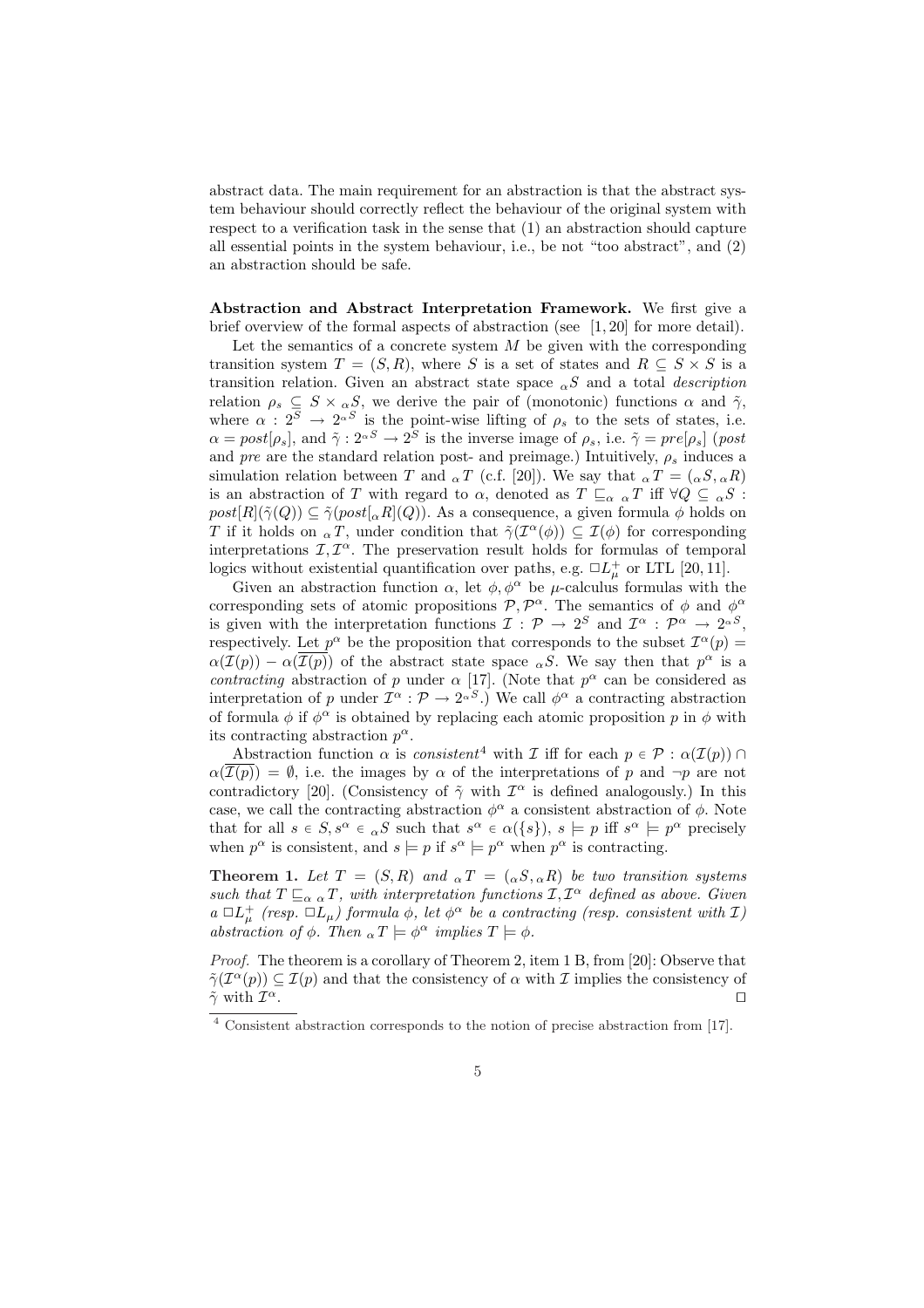abstract data. The main requirement for an abstraction is that the abstract system behaviour should correctly reflect the behaviour of the original system with respect to a verification task in the sense that (1) an abstraction should capture all essential points in the system behaviour, i.e., be not "too abstract", and (2) an abstraction should be safe.

Abstraction and Abstract Interpretation Framework. We first give a brief overview of the formal aspects of abstraction (see [1, 20] for more detail).

Let the semantics of a concrete system  $M$  be given with the corresponding transition system  $T = (S, R)$ , where S is a set of states and  $R \subseteq S \times S$  is a transition relation. Given an abstract state space  ${}_{\alpha}S$  and a total *description* relation  $\rho_s \subseteq S \times_{\alpha} S$ , we derive the pair of (monotonic) functions  $\alpha$  and  $\tilde{\gamma}$ , where  $\alpha$  :  $2^S \rightarrow 2^{\alpha S}$  is the point-wise lifting of  $\rho_s$  to the sets of states, i.e.  $\alpha = post[\rho_s],$  and  $\tilde{\gamma}: 2^{\alpha S} \to 2^S$  is the inverse image of  $\rho_s$ , i.e.  $\tilde{\gamma} = pre[\rho_s]$  (post and pre are the standard relation post- and preimage.) Intuitively,  $\rho_s$  induces a simulation relation between T and  $_{\alpha}T$  (c.f. [20]). We say that  $_{\alpha}T = (\alpha S, \alpha R)$ is an abstraction of T with regard to  $\alpha$ , denoted as  $T \sqsubseteq_{\alpha} \alpha T$  iff  $\forall Q \subseteq \alpha S$ :  $post[R](\tilde{\gamma}(Q)) \subseteq \tilde{\gamma}(post[\alpha R](Q)).$  As a consequence, a given formula  $\phi$  holds on T if it holds on  $_{\alpha}T$ , under condition that  $\tilde{\gamma}(T^{\alpha}(\phi)) \subseteq \mathcal{I}(\phi)$  for corresponding interpretations  $I, I^{\alpha}$ . The preservation result holds for formulas of temporal logics without existential quantification over paths, e.g.  $\Box L^+_\mu$  or LTL [20, 11].

Given an abstraction function  $\alpha$ , let  $\phi$ ,  $\phi^{\alpha}$  be *μ*-calculus formulas with the corresponding sets of atomic propositions  $P, P^{\alpha}$ . The semantics of  $\phi$  and  $\phi^{\alpha}$ is given with the interpretation functions  $\mathcal{I}: \mathcal{P} \to 2^S$  and  $\mathcal{I}^{\alpha}: \mathcal{P}^{\alpha} \to 2^{\alpha S}$ , respectively. Let  $p^{\alpha}$  be the proposition that corresponds to the subset  $\mathcal{I}^{\alpha}(p)$  =  $\alpha(\mathcal{I}(p)) - \alpha(\overline{\mathcal{I}(p)})$  of the abstract state space  $_{\alpha}S$ . We say then that  $p^{\alpha}$  is a contracting abstraction of p under  $\alpha$  [17]. (Note that  $p^{\alpha}$  can be considered as interpretation of p under  $\mathcal{I}^{\alpha} : \mathcal{P} \to 2^{\alpha S}$ .) We call  $\phi^{\alpha}$  a contracting abstraction of formula  $\phi$  if  $\phi^{\alpha}$  is obtained by replacing each atomic proposition p in  $\phi$  with its contracting abstraction  $p^{\alpha}$ .

Abstraction function  $\alpha$  is consistent<sup>4</sup> with I iff for each  $p \in \mathcal{P} : \alpha(\mathcal{I}(p)) \cap$  $\alpha(\overline{\mathcal{I}(p)}) = \emptyset$ , i.e. the images by  $\alpha$  of the interpretations of p and  $\neg p$  are not contradictory [20]. (Consistency of  $\tilde{\gamma}$  with  $\mathcal{I}^{\alpha}$  is defined analogously.) In this case, we call the contracting abstraction  $\phi^{\alpha}$  a consistent abstraction of  $\phi$ . Note that for all  $s \in S$ ,  $s^{\alpha} \in \alpha S$  such that  $s^{\alpha} \in \alpha({s})$ ,  $s \models p$  iff  $s^{\alpha} \models p^{\alpha}$  precisely when  $p^{\alpha}$  is consistent, and  $s \models p$  if  $s^{\alpha} \models p^{\alpha}$  when  $p^{\alpha}$  is contracting.

**Theorem 1.** Let  $T = (S, R)$  and  $_{\alpha} T = (S, S, {}_{\alpha} R)$  be two transition systems such that  $T \sqsubseteq_{\alpha} T$ , with interpretation functions  $\mathcal{I}, \mathcal{I}^{\alpha}$  defined as above. Given  $a \Box L^+_\mu$  (resp.  $\Box L_\mu$ ) formula  $\phi$ , let  $\phi^\alpha$  be a contracting (resp. consistent with  $\mathcal{I}$ ) abstraction of  $\phi$ . Then  $_{\alpha}T \models \phi^{\alpha}$  implies  $T \models \phi$ .

Proof. The theorem is a corollary of Theorem 2, item 1 B, from [20]: Observe that  $\tilde{\gamma}(\mathcal{I}^{\alpha}(p)) \subseteq \mathcal{I}(p)$  and that the consistency of  $\alpha$  with  $\mathcal{I}$  implies the consistency of  $\tilde{\gamma}$  with  $\mathcal{I}^{\alpha}$ .  $\alpha$ .

<sup>4</sup> Consistent abstraction corresponds to the notion of precise abstraction from [17].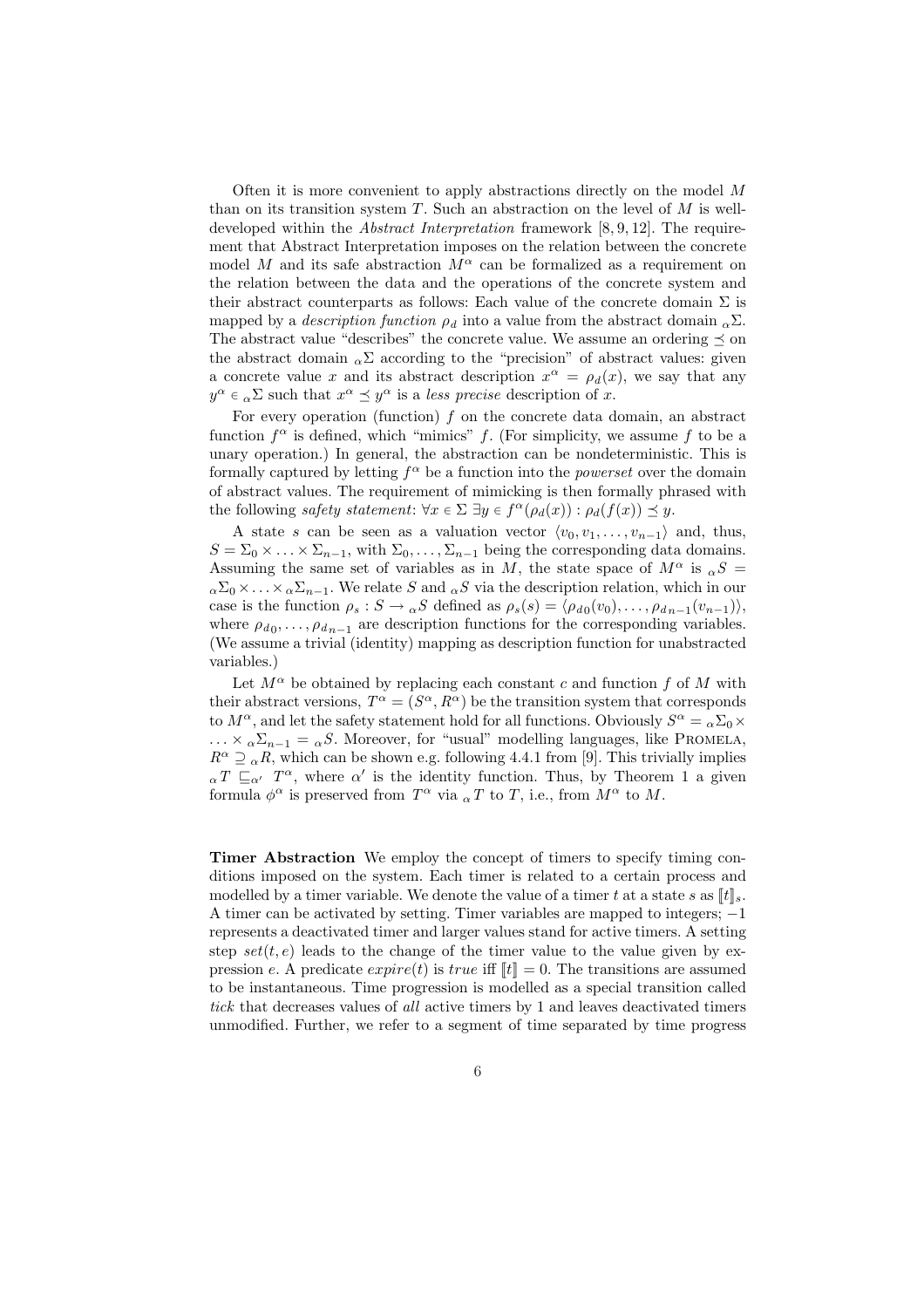Often it is more convenient to apply abstractions directly on the model M than on its transition system  $T$ . Such an abstraction on the level of  $M$  is welldeveloped within the *Abstract Interpretation* framework [8, 9, 12]. The requirement that Abstract Interpretation imposes on the relation between the concrete model M and its safe abstraction  $M^{\alpha}$  can be formalized as a requirement on the relation between the data and the operations of the concrete system and their abstract counterparts as follows: Each value of the concrete domain  $\Sigma$  is mapped by a *description function*  $\rho_d$  into a value from the abstract domain  $\alpha \Sigma$ . The abstract value "describes" the concrete value. We assume an ordering  $\preceq$  on the abstract domain  $_{\alpha}\Sigma$  according to the "precision" of abstract values: given a concrete value x and its abstract description  $x^{\alpha} = \rho_d(x)$ , we say that any  $y^{\alpha} \in \alpha \Sigma$  such that  $x^{\alpha} \preceq y^{\alpha}$  is a less precise description of x.

For every operation (function)  $f$  on the concrete data domain, an abstract function  $f^{\alpha}$  is defined, which "mimics" f. (For simplicity, we assume f to be a unary operation.) In general, the abstraction can be nondeterministic. This is formally captured by letting  $f^{\alpha}$  be a function into the *powerset* over the domain of abstract values. The requirement of mimicking is then formally phrased with the following *safety statement*:  $\forall x \in \Sigma \ \exists y \in f^{\alpha}(\rho_d(x)) : \rho_d(f(x)) \preceq y$ .

A state s can be seen as a valuation vector  $\langle v_0, v_1, \ldots, v_{n-1} \rangle$  and, thus,  $S = \Sigma_0 \times \ldots \times \Sigma_{n-1}$ , with  $\Sigma_0, \ldots, \Sigma_{n-1}$  being the corresponding data domains. Assuming the same set of variables as in M, the state space of  $M^{\alpha}$  is  $_{\alpha}S$  =  ${}_{\alpha}\Sigma_0 \times \ldots \times {}_{\alpha}\Sigma_{n-1}$ . We relate S and  ${}_{\alpha}S$  via the description relation, which in our case is the function  $\rho_s : S \to {}_{\alpha}S$  defined as  $\rho_s(s) = \langle \rho_{d_0}(v_0), \ldots, \rho_{d_{n-1}}(v_{n-1}) \rangle$ , where  $\rho_{d0}, \ldots, \rho_{dn-1}$  are description functions for the corresponding variables. (We assume a trivial (identity) mapping as description function for unabstracted variables.)

Let  $M^{\alpha}$  be obtained by replacing each constant c and function f of M with their abstract versions,  $T^{\alpha} = (S^{\alpha}, R^{\alpha})$  be the transition system that corresponds to  $M^{\alpha}$ , and let the safety statement hold for all functions. Obviously  $S^{\alpha} = {}_{\alpha}\Sigma_{0} \times$  $\ldots \times_{\alpha} \Sigma_{n-1} = {\alpha} S$ . Moreover, for "usual" modelling languages, like PROMELA,  $R^{\alpha} \supset R_{\alpha}$ , which can be shown e.g. following 4.4.1 from [9]. This trivially implies  $\alpha T \subseteq \alpha'$  T<sup> $\alpha$ </sup>, where  $\alpha'$  is the identity function. Thus, by Theorem 1 a given formula  $\phi^{\alpha}$  is preserved from  $T^{\alpha}$  via  $_{\alpha}T$  to T, i.e., from  $M^{\alpha}$  to M.

Timer Abstraction We employ the concept of timers to specify timing conditions imposed on the system. Each timer is related to a certain process and modelled by a timer variable. We denote the value of a timer t at a state s as  $[[t]]_s$ . A timer can be activated by setting. Timer variables are mapped to integers;  $-1$ represents a deactivated timer and larger values stand for active timers. A setting step  $set(t, e)$  leads to the change of the timer value to the value given by expression e. A predicate  $expire(t)$  is true iff  $\llbracket t \rrbracket = 0$ . The transitions are assumed to be instantaneous. Time progression is modelled as a special transition called tick that decreases values of all active timers by 1 and leaves deactivated timers unmodified. Further, we refer to a segment of time separated by time progress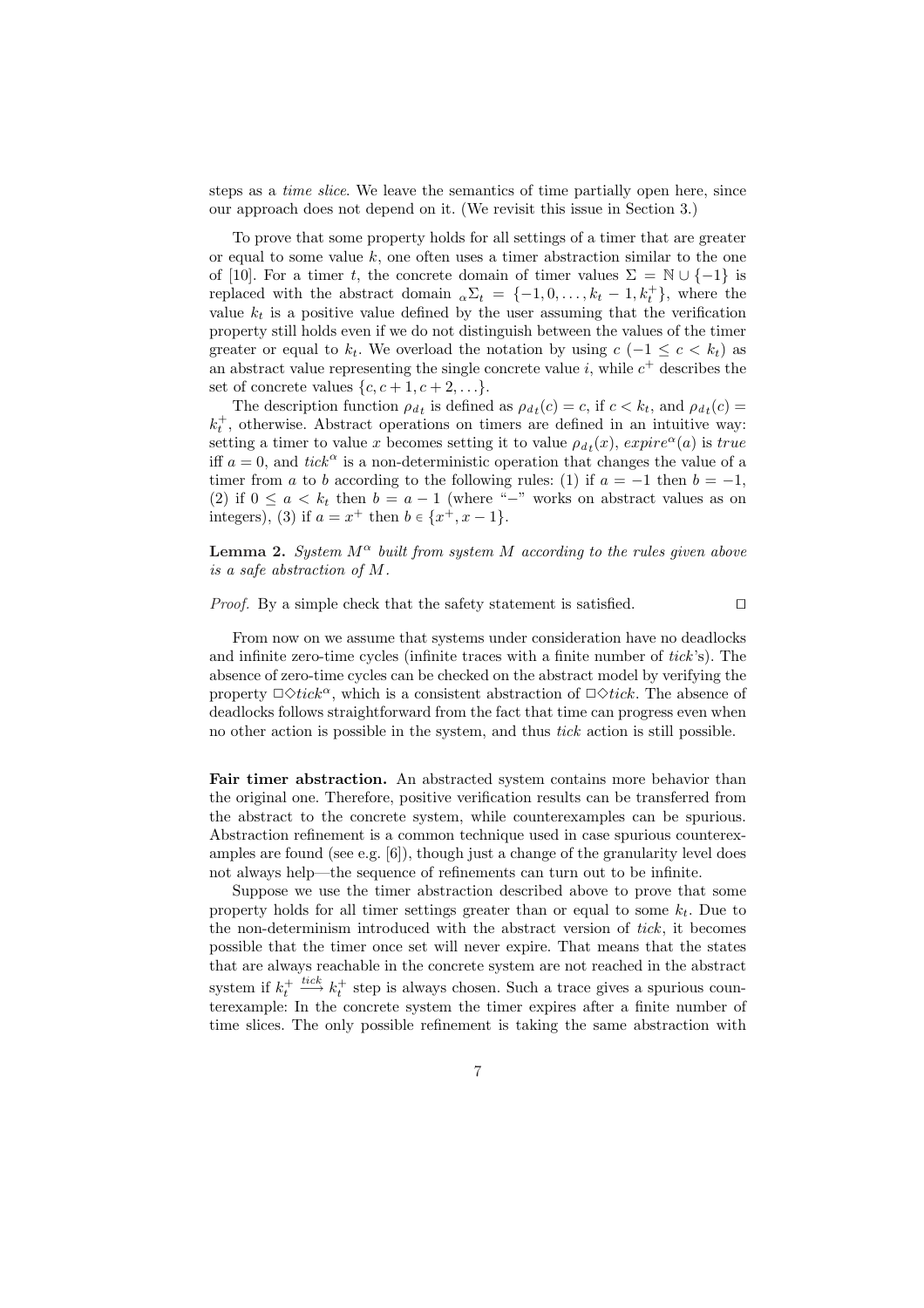steps as a *time slice*. We leave the semantics of time partially open here, since our approach does not depend on it. (We revisit this issue in Section 3.)

To prove that some property holds for all settings of a timer that are greater or equal to some value  $k$ , one often uses a timer abstraction similar to the one of [10]. For a timer t, the concrete domain of timer values  $\Sigma = \mathbb{N} \cup \{-1\}$  is replaced with the abstract domain  ${}_{\alpha}\Sigma_t = \{-1,0,\ldots,k_t-1,k_t^+\}$ , where the value  $k_t$  is a positive value defined by the user assuming that the verification property still holds even if we do not distinguish between the values of the timer greater or equal to  $k_t$ . We overload the notation by using  $c \ (-1 \leq c \leq k_t)$  as an abstract value representing the single concrete value  $i$ , while  $c^+$  describes the set of concrete values  $\{c, c+1, c+2, \ldots\}.$ 

The description function  $\rho_{d_t}$  is defined as  $\rho_{d_t}(c) = c$ , if  $c < k_t$ , and  $\rho_{d_t}(c) = c$  $k_t^+$ , otherwise. Abstract operations on timers are defined in an intuitive way: setting a timer to value x becomes setting it to value  $\rho_{dt}(x)$ ,  $expire^{\alpha}(a)$  is true iff  $a = 0$ , and tick<sup> $\alpha$ </sup> is a non-deterministic operation that changes the value of a timer from a to b according to the following rules: (1) if  $a = -1$  then  $b = -1$ , (2) if  $0 \le a \le k_t$  then  $b = a - 1$  (where "-" works on abstract values as on integers), (3) if  $a = x^+$  then  $b \in \{x^+, x - 1\}$ .

**Lemma 2.** System  $M^{\alpha}$  built from system M according to the rules given above is a safe abstraction of M.

*Proof.* By a simple check that the safety statement is satisfied.  $\square$ 

From now on we assume that systems under consideration have no deadlocks and infinite zero-time cycles (infinite traces with a finite number of tick's). The absence of zero-time cycles can be checked on the abstract model by verifying the property  $\Box \Diamond tick^{\alpha}$ , which is a consistent abstraction of  $\Box \Diamond tick$ . The absence of deadlocks follows straightforward from the fact that time can progress even when no other action is possible in the system, and thus tick action is still possible.

Fair timer abstraction. An abstracted system contains more behavior than the original one. Therefore, positive verification results can be transferred from the abstract to the concrete system, while counterexamples can be spurious. Abstraction refinement is a common technique used in case spurious counterexamples are found (see e.g.  $[6]$ ), though just a change of the granularity level does not always help—the sequence of refinements can turn out to be infinite.

Suppose we use the timer abstraction described above to prove that some property holds for all timer settings greater than or equal to some  $k_t$ . Due to the non-determinism introduced with the abstract version of tick, it becomes possible that the timer once set will never expire. That means that the states that are always reachable in the concrete system are not reached in the abstract system if  $k_t^+ \stackrel{tick}{\longrightarrow} k_t^+$  step is always chosen. Such a trace gives a spurious counterexample: In the concrete system the timer expires after a finite number of time slices. The only possible refinement is taking the same abstraction with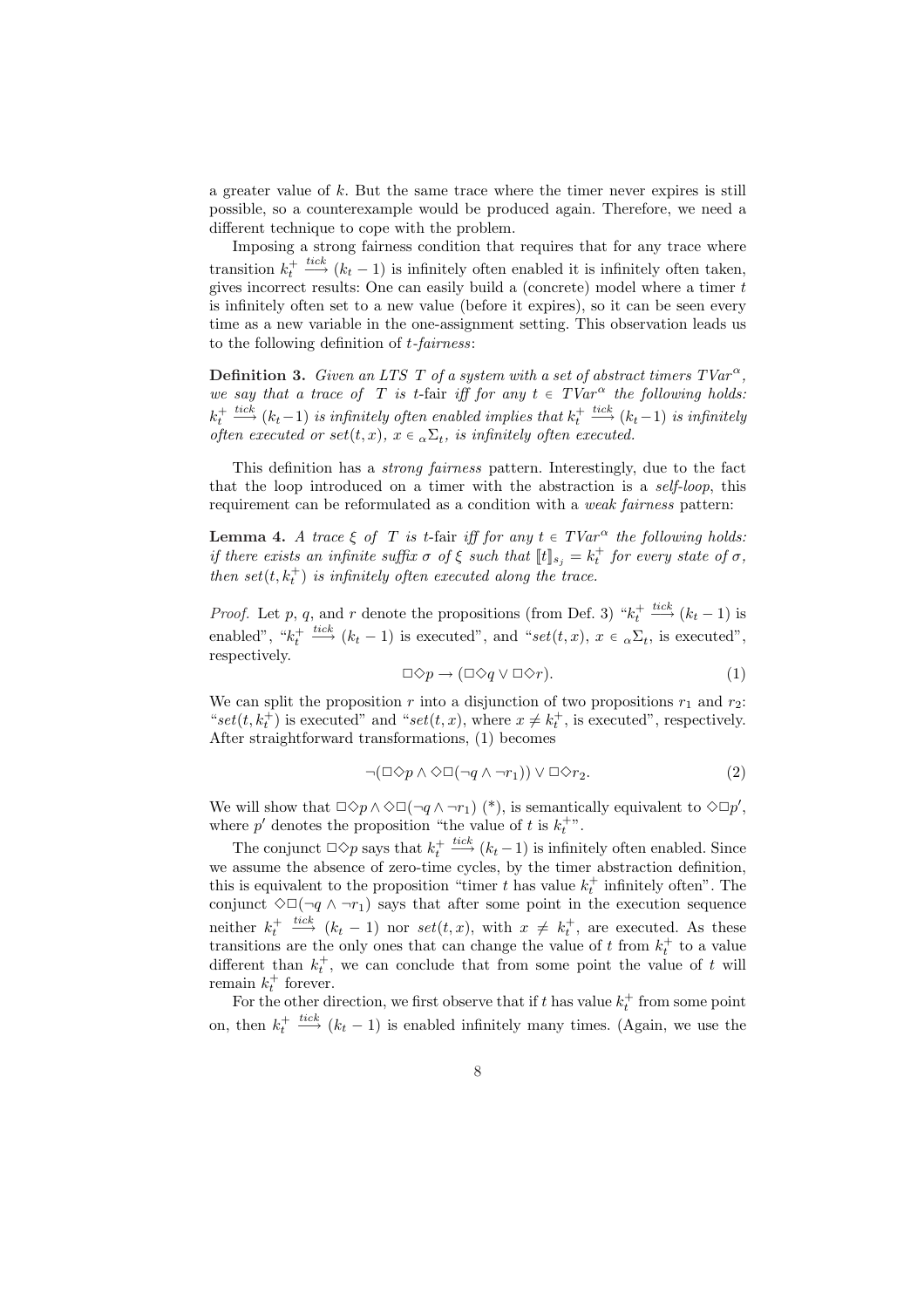a greater value of  $k$ . But the same trace where the timer never expires is still possible, so a counterexample would be produced again. Therefore, we need a different technique to cope with the problem.

Imposing a strong fairness condition that requires that for any trace where transition  $k_t^+ \stackrel{tick}{\longrightarrow} (k_t - 1)$  is infinitely often enabled it is infinitely often taken, gives incorrect results: One can easily build a (concrete) model where a timer  $t$ is infinitely often set to a new value (before it expires), so it can be seen every time as a new variable in the one-assignment setting. This observation leads us to the following definition of t-fairness:

**Definition 3.** Given an LTS T of a system with a set of abstract timers  $TVar^{\alpha}$ , we say that a trace of T is t-fair iff for any  $t \in TVar^{\alpha}$  the following holds:  $k_t^+ \stackrel{tick}{\longrightarrow} (k_t-1)$  is infinitely often enabled implies that  $k_t^+ \stackrel{tick}{\longrightarrow} (k_t-1)$  is infinitely often executed or set $(t, x)$ ,  $x \in \alpha \Sigma_t$ , is infinitely often executed.

This definition has a strong fairness pattern. Interestingly, due to the fact that the loop introduced on a timer with the abstraction is a self-loop, this requirement can be reformulated as a condition with a *weak fairness* pattern:

**Lemma 4.** A trace  $\xi$  of T is t-fair iff for any  $t \in TVar^{\alpha}$  the following holds: if there exists an infinite suffix  $\sigma$  of  $\xi$  such that  $[[t]]_{s_j} = k_t^+$  for every state of  $\sigma$ , then  $set(t, k_t^+)$  is infinitely often executed along the trace.

*Proof.* Let p, q, and r denote the propositions (from Def. 3)  $"k_t^+ \stackrel{tick}{\longrightarrow} (k_t - 1)$  is enabled", " $k_t^+$   $\stackrel{tick}{\longrightarrow}$   $(k_t - 1)$  is executed", and " $set(t, x)$ ,  $x \in \alpha \Sigma_t$ , is executed", respectively.

$$
\Box \Diamond p \to (\Box \Diamond q \lor \Box \Diamond r). \tag{1}
$$

We can split the proposition r into a disjunction of two propositions  $r_1$  and  $r_2$ : " $set(t, k_t^+)$  is executed" and " $set(t, x)$ , where  $x \neq k_t^+$ , is executed", respectively. After straightforward transformations, (1) becomes

$$
\neg(\Box \Diamond p \land \Diamond \Box (\neg q \land \neg r_1)) \lor \Box \Diamond r_2. \tag{2}
$$

We will show that  $\Box \Diamond p \land \Diamond \Box (\neg q \land \neg r_1) (*)$ , is semantically equivalent to  $\Diamond \Box p'$ , where  $p'$  denotes the proposition "the value of t is  $k_t^{+\nu}$ .

The conjunct  $\Box \Diamond p$  says that  $k_t^+ \stackrel{tick}{\longrightarrow} (k_t - 1)$  is infinitely often enabled. Since we assume the absence of zero-time cycles, by the timer abstraction definition, this is equivalent to the proposition "timer t has value  $k_t^+$  infinitely often". The conjunct  $\Diamond \Box (\neg q \land \neg r_1)$  says that after some point in the execution sequence neither  $k_t^+ \stackrel{tick}{\longrightarrow} (k_t - 1)$  nor  $set(t, x)$ , with  $x \neq k_t^+$ , are executed. As these transitions are the only ones that can change the value of t from  $k_t^+$  to a value different than  $k_t^+$ , we can conclude that from some point the value of t will remain  $k_t^+$  forever.

For the other direction, we first observe that if t has value  $k_t^+$  from some point on, then  $k_t^+$   $\stackrel{tick}{\longrightarrow}$   $(k_t - 1)$  is enabled infinitely many times. (Again, we use the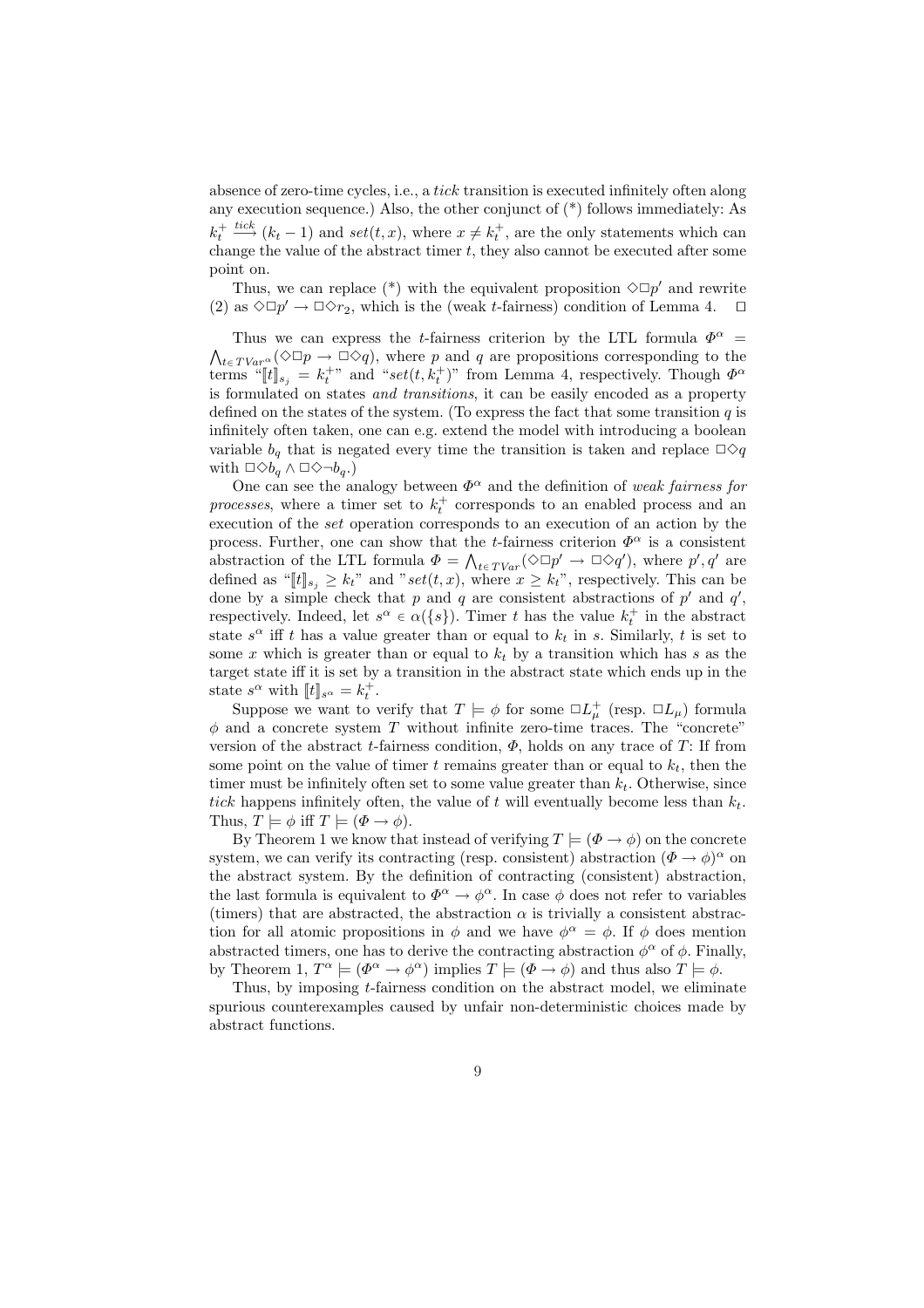absence of zero-time cycles, i.e., a tick transition is executed infinitely often along any execution sequence.) Also, the other conjunct of (\*) follows immediately: As  $k_t^+$   $\stackrel{tick}{\longrightarrow}$   $(k_t - 1)$  and  $set(t, x)$ , where  $x \neq k_t^+$ , are the only statements which can change the value of the abstract timer  $t$ , they also cannot be executed after some point on.

Thus, we can replace (\*) with the equivalent proposition  $\Diamond \Box p'$  and rewrite (2) as  $\Diamond \Box p' \rightarrow \Box \Diamond r_2$ , which is the (weak t-fairness) condition of Lemma 4.  $\Box$ 

Thus we can express the t-fairness criterion by the LTL formula  $\Phi^{\alpha}$  =  $\bigwedge_{t\in TVar^{\alpha}} (\Diamond \Box p \rightarrow \Box \Diamond q)$ , where p and q are propositions corresponding to the terms "[ $t$ ]<sub>sj</sub> =  $k_t^+$ " and "set(t,  $k_t^+$ )" from Lemma 4, respectively. Though  $\Phi^{\alpha}$ is formulated on states and transitions, it can be easily encoded as a property defined on the states of the system. (To express the fact that some transition  $q$  is infinitely often taken, one can e.g. extend the model with introducing a boolean variable  $b_q$  that is negated every time the transition is taken and replace  $\Box \Diamond q$ with  $\Box \Diamond b_q \wedge \Box \Diamond \neg b_q$ .)

One can see the analogy between  $\Phi^{\alpha}$  and the definition of weak fairness for *processes*, where a timer set to  $k_t^+$  corresponds to an enabled process and an execution of the set operation corresponds to an execution of an action by the process. Further, one can show that the t-fairness criterion  $\Phi^{\alpha}$  is a consistent abstraction of the LTL formula  $\Phi = \bigwedge_{t \in TVar} (\Diamond \Box p' \to \Box \Diamond q')$ , where  $p', q'$  are defined as "[ $t$ ]<sub>s<sub>j</sub>  $\geq k_t$ " and " $set(t, x)$ , where  $x \geq k_t$ ", respectively. This can be</sub> done by a simple check that p and q are consistent abstractions of p' and  $q'$ , respectively. Indeed, let  $s^{\alpha} \in \alpha({s})$ . Timer t has the value  $k_t^+$  in the abstract state  $s^{\alpha}$  iff t has a value greater than or equal to  $k_t$  in s. Similarly, t is set to some x which is greater than or equal to  $k_t$  by a transition which has s as the target state iff it is set by a transition in the abstract state which ends up in the state  $s^{\alpha}$  with  $[[t]]_{s^{\alpha}} = k_t^+$ .

Suppose we want to verify that  $T \models \phi$  for some  $\Box L^+_\mu$  (resp.  $\Box L_\mu$ ) formula  $\phi$  and a concrete system T without infinite zero-time traces. The "concrete" version of the abstract t-fairness condition,  $\Phi$ , holds on any trace of T: If from some point on the value of timer t remains greater than or equal to  $k_t$ , then the timer must be infinitely often set to some value greater than  $k_t$ . Otherwise, since tick happens infinitely often, the value of t will eventually become less than  $k_t$ . Thus,  $T \models \phi$  iff  $T \models (\Phi \rightarrow \phi)$ .

By Theorem 1 we know that instead of verifying  $T \models (\Phi \rightarrow \phi)$  on the concrete system, we can verify its contracting (resp. consistent) abstraction  $(\Phi \to \phi)^\alpha$  on the abstract system. By the definition of contracting (consistent) abstraction, the last formula is equivalent to  $\Phi^{\alpha} \to \phi^{\alpha}$ . In case  $\phi$  does not refer to variables (timers) that are abstracted, the abstraction  $\alpha$  is trivially a consistent abstraction for all atomic propositions in  $\phi$  and we have  $\phi^{\alpha} = \phi$ . If  $\phi$  does mention abstracted timers, one has to derive the contracting abstraction  $\phi^{\alpha}$  of  $\phi$ . Finally, by Theorem 1,  $T^{\alpha} \models (\Phi^{\alpha} \rightarrow \phi^{\alpha})$  implies  $T \models (\Phi \rightarrow \phi)$  and thus also  $T \models \phi$ .

Thus, by imposing t-fairness condition on the abstract model, we eliminate spurious counterexamples caused by unfair non-deterministic choices made by abstract functions.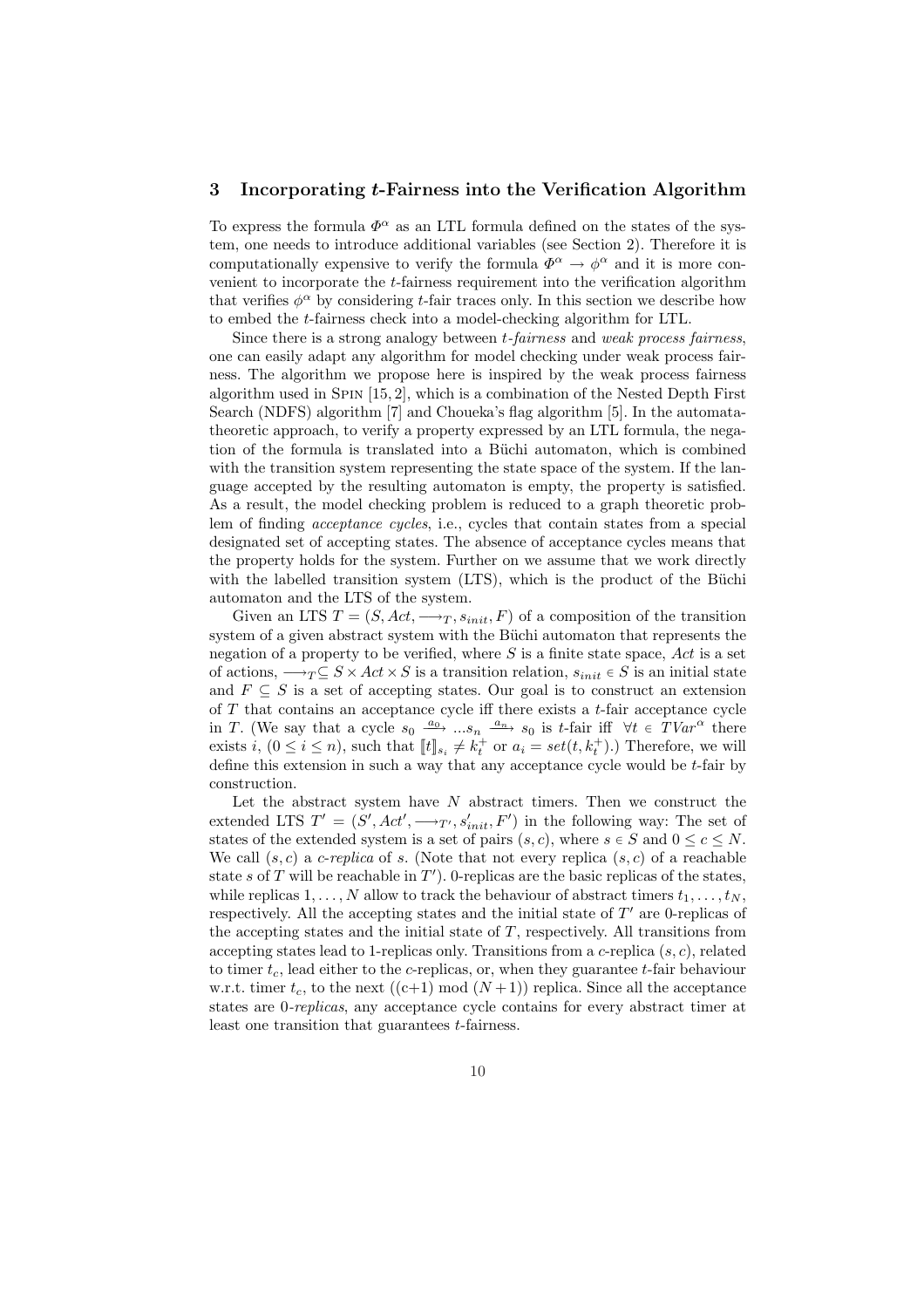#### 3 Incorporating t-Fairness into the Verification Algorithm

To express the formula  $\Phi^{\alpha}$  as an LTL formula defined on the states of the system, one needs to introduce additional variables (see Section 2). Therefore it is computationally expensive to verify the formula  $\Phi^{\alpha} \to \phi^{\alpha}$  and it is more convenient to incorporate the t-fairness requirement into the verification algorithm that verifies  $\phi^{\alpha}$  by considering t-fair traces only. In this section we describe how to embed the t-fairness check into a model-checking algorithm for LTL.

Since there is a strong analogy between t-fairness and weak process fairness, one can easily adapt any algorithm for model checking under weak process fairness. The algorithm we propose here is inspired by the weak process fairness algorithm used in SPIN  $[15, 2]$ , which is a combination of the Nested Depth First Search (NDFS) algorithm [7] and Choueka's flag algorithm [5]. In the automatatheoretic approach, to verify a property expressed by an LTL formula, the negation of the formula is translated into a Büchi automaton, which is combined with the transition system representing the state space of the system. If the language accepted by the resulting automaton is empty, the property is satisfied. As a result, the model checking problem is reduced to a graph theoretic problem of finding acceptance cycles, i.e., cycles that contain states from a special designated set of accepting states. The absence of acceptance cycles means that the property holds for the system. Further on we assume that we work directly with the labelled transition system  $(LTS)$ , which is the product of the Büchi automaton and the LTS of the system.

Given an LTS  $T = (S, Act, \longrightarrow_T, s_{init}, F)$  of a composition of the transition system of a given abstract system with the Büchi automaton that represents the negation of a property to be verified, where  $S$  is a finite state space,  $Act$  is a set of actions,  $\longrightarrow_T \subseteq S \times Act \times S$  is a transition relation,  $s_{init} \in S$  is an initial state and  $F \subseteq S$  is a set of accepting states. Our goal is to construct an extension of  $T$  that contains an acceptance cycle iff there exists a  $t$ -fair acceptance cycle in T. (We say that a cycle  $s_0 \xrightarrow{a_0} ... s_n \xrightarrow{a_n} s_0$  is t-fair iff  $\forall t \in \mathit{TVar}^\alpha$  there exists i,  $(0 \le i \le n)$ , such that  $[[t]]_{s_i} \neq k_t^+$  or  $a_i = set(t, k_t^+)$ .) Therefore, we will define this extension in such a way that any acceptance cycle would be t-fair by construction.

Let the abstract system have  $N$  abstract timers. Then we construct the extended LTS  $T' = (S', Act', \longrightarrow_{T'}, s'_{init}, F')$  in the following way: The set of states of the extended system is a set of pairs  $(s, c)$ , where  $s \in S$  and  $0 \leq c \leq N$ . We call  $(s, c)$  a c-replica of s. (Note that not every replica  $(s, c)$  of a reachable state s of T will be reachable in  $T'$ ). 0-replicas are the basic replicas of the states, while replicas  $1, \ldots, N$  allow to track the behaviour of abstract timers  $t_1, \ldots, t_N$ , respectively. All the accepting states and the initial state of  $T'$  are 0-replicas of the accepting states and the initial state of  $T$ , respectively. All transitions from accepting states lead to 1-replicas only. Transitions from a c-replica  $(s, c)$ , related to timer  $t_c$ , lead either to the c-replicas, or, when they guarantee  $t$ -fair behaviour w.r.t. timer  $t_c$ , to the next  $((c+1) \mod (N+1))$  replica. Since all the acceptance states are 0-replicas, any acceptance cycle contains for every abstract timer at least one transition that guarantees t-fairness.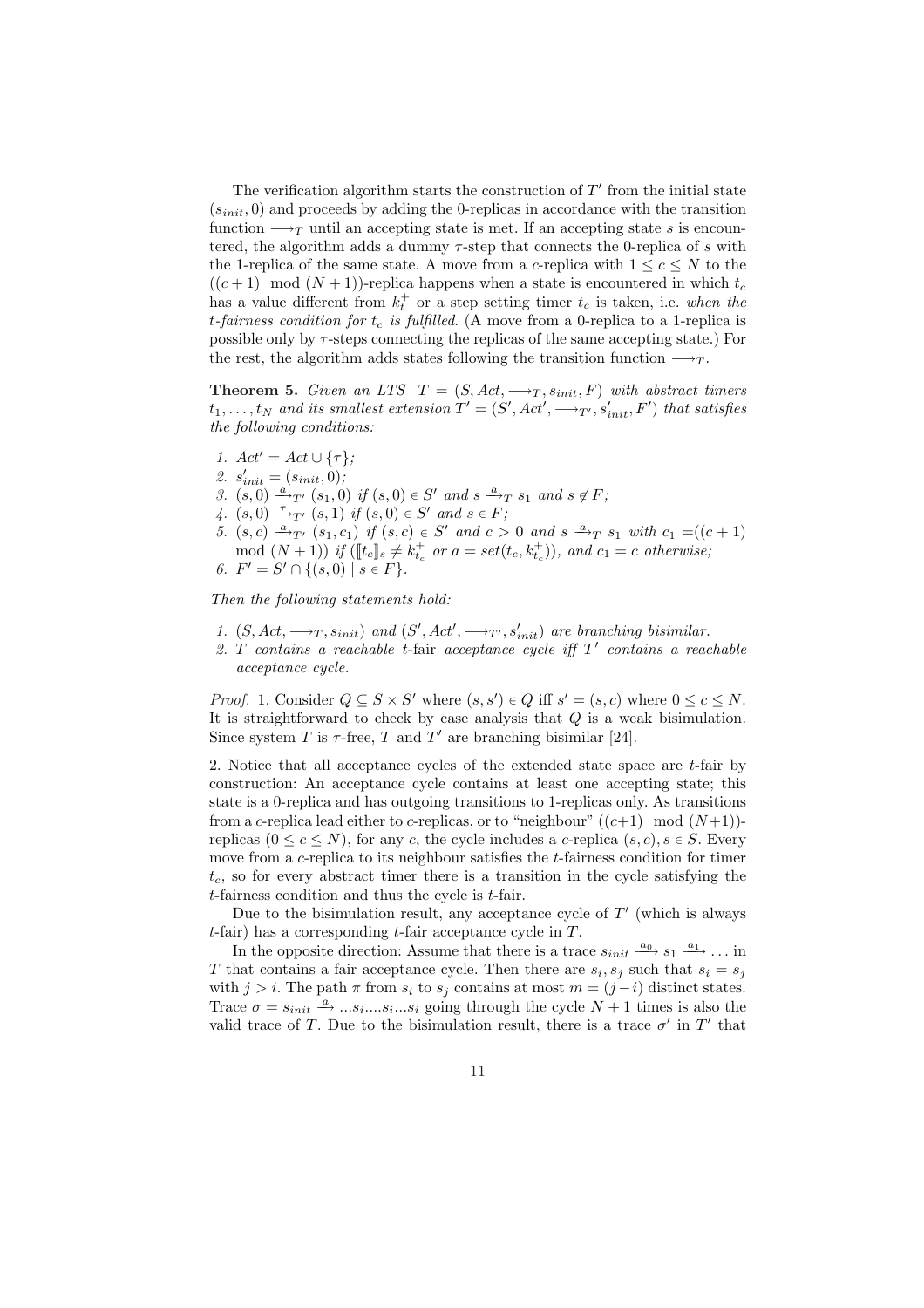The verification algorithm starts the construction of  $T'$  from the initial state  $(s_{init}, 0)$  and proceeds by adding the 0-replicas in accordance with the transition function  $\longrightarrow_T$  until an accepting state is met. If an accepting state s is encountered, the algorithm adds a dummy  $\tau$ -step that connects the 0-replica of s with the 1-replica of the same state. A move from a c-replica with  $1 \leq c \leq N$  to the  $((c+1) \mod (N+1))$ -replica happens when a state is encountered in which  $t_c$ has a value different from  $k_t^+$  or a step setting timer  $t_c$  is taken, i.e. when the t-fairness condition for  $t_c$  is fulfilled. (A move from a 0-replica to a 1-replica is possible only by  $\tau$ -steps connecting the replicas of the same accepting state.) For the rest, the algorithm adds states following the transition function  $\longrightarrow_T$ .

**Theorem 5.** Given an LTS  $T = (S, Act, \rightarrow_T, s_{init}, F)$  with abstract timers  $t_1, \ldots, t_N$  and its smallest extension  $T' = (S', Act', \longrightarrow_{T'}, s'_{init}, F')$  that satisfies the following conditions:

- 1.  $Act' = Act \cup \{\tau\};$
- 2.  $s'_{init} = (s_{init}, 0);$
- 3.  $(s, 0) \stackrel{a}{\longrightarrow}_{T'} (s_1, 0)$  if  $(s, 0) \in S'$  and  $s \stackrel{a}{\longrightarrow}_T s_1$  and  $s \notin F$ ;
- 4.  $(s, 0)$   $\stackrel{\tau}{\longrightarrow}_{T'} (s, 1)$  if  $(s, 0) \in S'$  and  $s \in F$ ;
- 5.  $(s, c) \xrightarrow{a} T(s_1, c_1)$  if  $(s, c) \in S'$  and  $c > 0$  and  $s \xrightarrow{a} T s_1$  with  $c_1 = ((c + 1)$ mod  $(N+1)$ ) if  $( [t_c]_s \neq k_{t_c}^+$  or  $a = set(t_c, k_{t_c}^+))$ , and  $c_1 = c$  otherwise;

6. 
$$
F' = S' \cap \{(s,0) | s \in F\}.
$$

Then the following statements hold:

- 1.  $(S, Act, \longrightarrow_T, s_{init})$  and  $(S', Act', \longrightarrow_{T'}, s'_{init})$  are branching bisimilar.
- 2. T contains a reachable t-fair acceptance cycle iff  $T'$  contains a reachable acceptance cycle.

*Proof.* 1. Consider  $Q \subseteq S \times S'$  where  $(s, s') \in Q$  iff  $s' = (s, c)$  where  $0 \le c \le N$ . It is straightforward to check by case analysis that  $Q$  is a weak bisimulation. Since system T is  $\tau$ -free, T and T' are branching bisimilar [24].

2. Notice that all acceptance cycles of the extended state space are t-fair by construction: An acceptance cycle contains at least one accepting state; this state is a 0-replica and has outgoing transitions to 1-replicas only. As transitions from a c-replica lead either to c-replicas, or to "neighbour"  $((c+1) \mod (N+1))$ replicas  $(0 \le c \le N)$ , for any c, the cycle includes a c-replica  $(s, c)$ ,  $s \in S$ . Every move from a c-replica to its neighbour satisfies the t-fairness condition for timer  $t_c$ , so for every abstract timer there is a transition in the cycle satisfying the t-fairness condition and thus the cycle is t-fair.

Due to the bisimulation result, any acceptance cycle of  $T'$  (which is always  $t$ -fair) has a corresponding  $t$ -fair acceptance cycle in  $T$ .

In the opposite direction: Assume that there is a trace  $s_{init} \xrightarrow{a_0} s_1 \xrightarrow{a_1} \dots$  in T that contains a fair acceptance cycle. Then there are  $s_i, s_j$  such that  $s_i = s_j$ with  $j > i$ . The path  $\pi$  from  $s_i$  to  $s_j$  contains at most  $m = (j - i)$  distinct states. Trace  $\sigma = s_{init} \stackrel{a}{\longrightarrow} ... s_i ... s_i ... s_i$  going through the cycle  $N + 1$  times is also the valid trace of T. Due to the bisimulation result, there is a trace  $\sigma'$  in T' that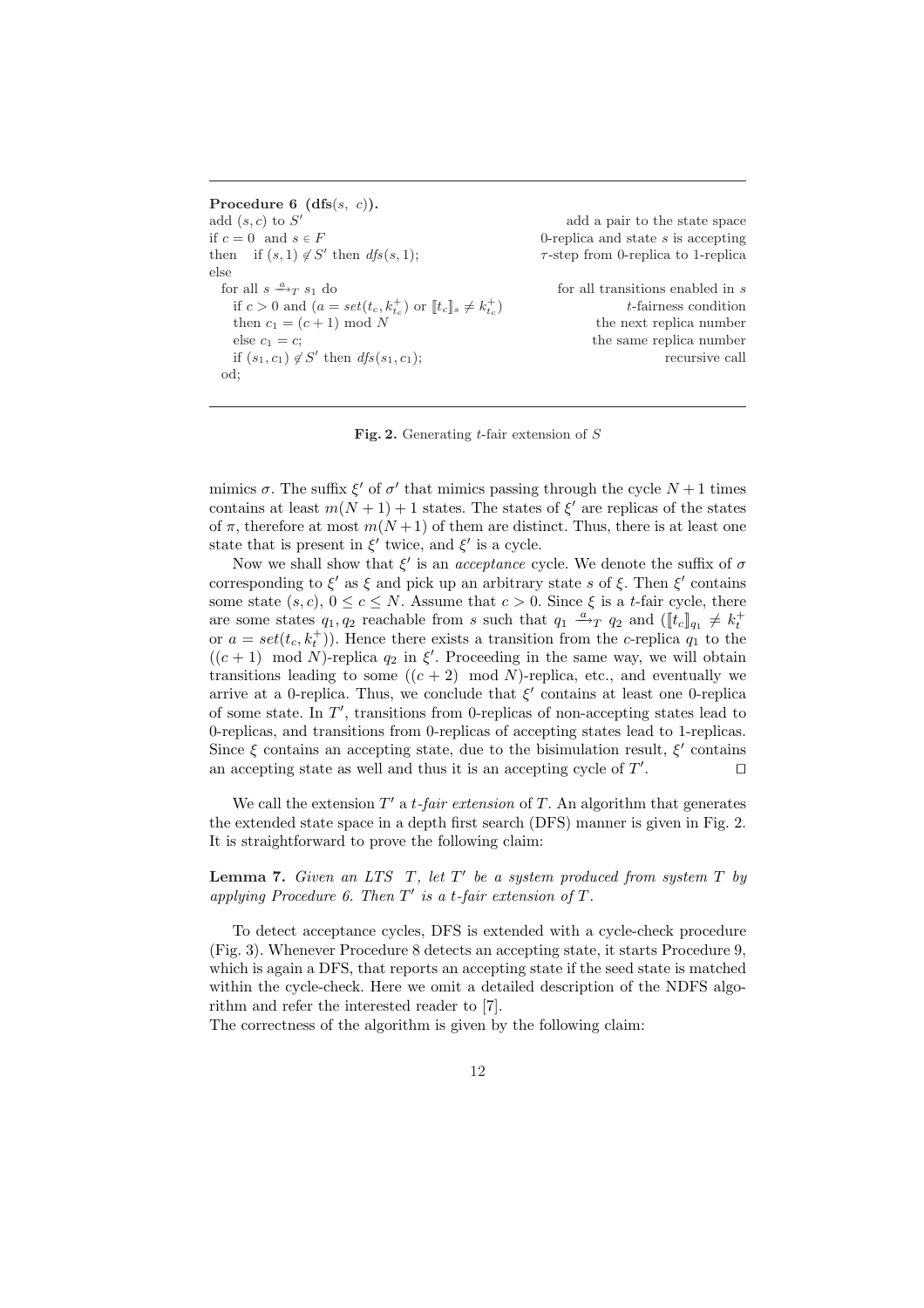| Procedure 6 (dfs $(s, c)$ ).                                             |                                          |
|--------------------------------------------------------------------------|------------------------------------------|
| add $(s, c)$ to $S'$                                                     | add a pair to the state space            |
| if $c = 0$ and $s \in F$                                                 | 0-replica and state $s$ is accepting     |
| then if $(s,1) \notin S'$ then $dfs(s,1)$ ;                              | $\tau$ -step from 0-replica to 1-replica |
| else                                                                     |                                          |
| for all $s \xrightarrow{a} r s_1$ do                                     | for all transitions enabled in s         |
| if $c > 0$ and $(a = set(t_c, k_{t_a}^+)$ or $[[t_c]]_s \neq k_{t_a}^+)$ | $t$ -fairness condition                  |
| then $c_1 = (c+1) \mod N$                                                | the next replica number                  |
| else $c_1 = c$ ;                                                         | the same replica number                  |
| if $(s_1, c_1) \notin S'$ then $dfs(s_1, c_1)$ ;                         | recursive call                           |
| od:                                                                      |                                          |

Fig. 2. Generating  $t$ -fair extension of  $S$ 

mimics  $\sigma$ . The suffix  $\xi'$  of  $\sigma'$  that mimics passing through the cycle  $N+1$  times contains at least  $m(N + 1) + 1$  states. The states of  $\xi'$  are replicas of the states of  $\pi$ , therefore at most  $m(N+1)$  of them are distinct. Thus, there is at least one state that is present in  $\xi'$  twice, and  $\xi'$  is a cycle.

Now we shall show that  $\xi'$  is an *acceptance* cycle. We denote the suffix of  $\sigma$ corresponding to  $\xi'$  as  $\xi$  and pick up an arbitrary state s of  $\xi$ . Then  $\xi'$  contains some state  $(s, c)$ ,  $0 \le c \le N$ . Assume that  $c > 0$ . Since  $\xi$  is a t-fair cycle, there are some states  $q_1, q_2$  reachable from s such that  $q_1 \stackrel{a}{\longrightarrow} q_2$  and  $(\llbracket t_c \rrbracket_{q_1} \neq k_t^+$ or  $a = set(t_c, k_t^+)$ . Hence there exists a transition from the c-replica  $q_1$  to the  $((c+1) \mod N)$ -replica  $q_2$  in  $\xi'$ . Proceeding in the same way, we will obtain transitions leading to some  $((c + 2) \mod N)$ -replica, etc., and eventually we arrive at a 0-replica. Thus, we conclude that  $\xi'$  contains at least one 0-replica of some state. In  $T'$ , transitions from 0-replicas of non-accepting states lead to 0-replicas, and transitions from 0-replicas of accepting states lead to 1-replicas. Since  $\xi$  contains an accepting state, due to the bisimulation result,  $\xi'$  contains an accepting state as well and thus it is an accepting cycle of  $T'$ .  $\Box$ 

We call the extension  $T'$  a t-fair extension of  $T$ . An algorithm that generates the extended state space in a depth first search (DFS) manner is given in Fig. 2. It is straightforward to prove the following claim:

**Lemma 7.** Given an LTS  $T$ , let  $T'$  be a system produced from system  $T$  by applying Procedure 6. Then  $T'$  is a t-fair extension of  $T$ .

To detect acceptance cycles, DFS is extended with a cycle-check procedure (Fig. 3). Whenever Procedure 8 detects an accepting state, it starts Procedure 9, which is again a DFS, that reports an accepting state if the seed state is matched within the cycle-check. Here we omit a detailed description of the NDFS algorithm and refer the interested reader to [7].

The correctness of the algorithm is given by the following claim: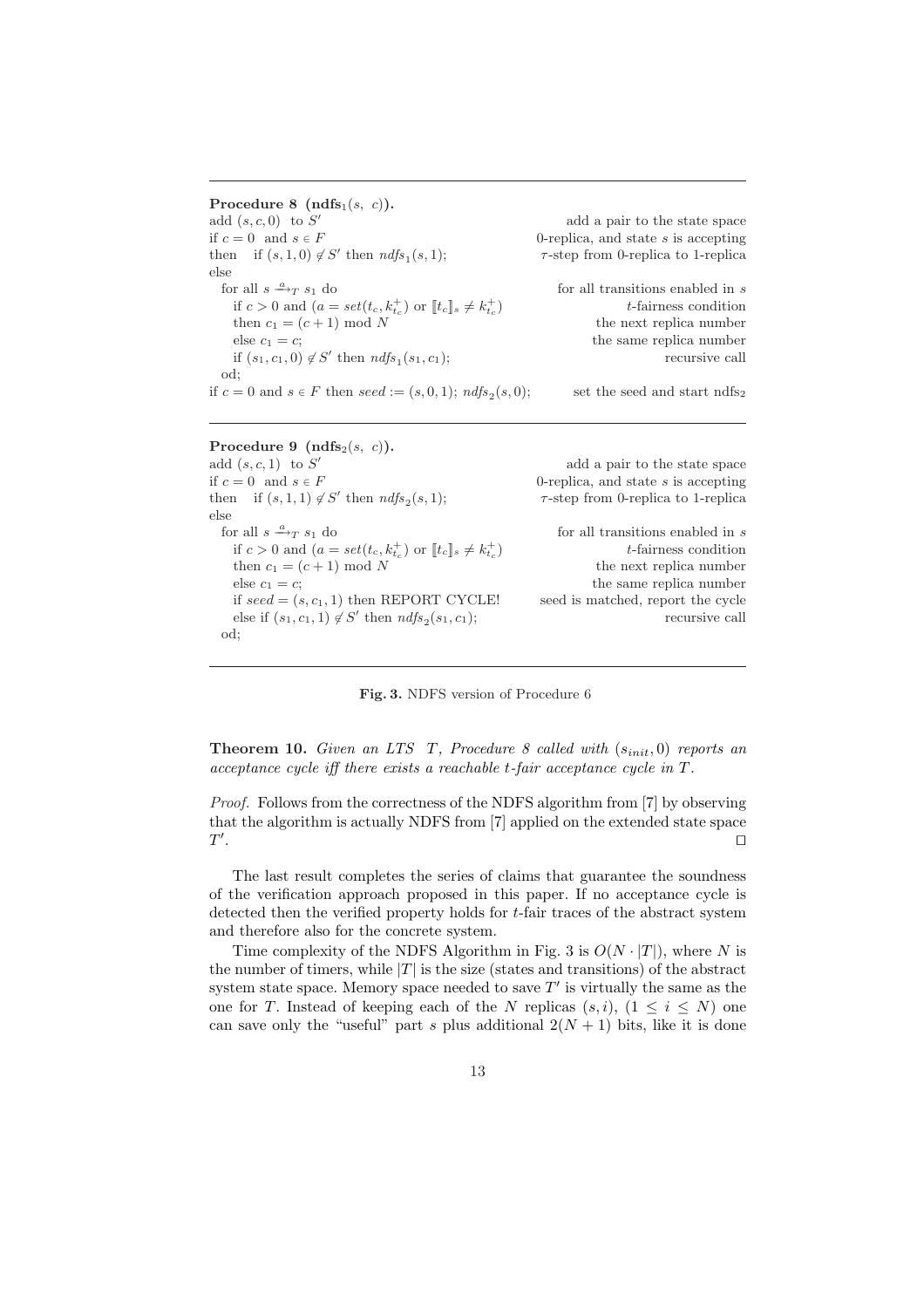Procedure 8 (ndfs<sub>1</sub> $(s, c)$ ). add  $(s, c, 0)$  to  $S'$ add a pair to the state space if  $c = 0$  and  $s \in F$  0-replica, and state s is accepting then if  $(s, 1, 0) \notin S'$  then  $ndfs_1$  $\tau$ -step from 0-replica to 1-replica else for all  $s \xrightarrow{a}_{T} s_1$  do for all transitions enabled in  $s$ if  $c > 0$  and  $(a = set(t_c, k_{t_c}^+)$  or  $[[t_c]]_s \neq k_{t_c}^+$ ) t-fairness condition then  $c_1 = (c + 1) \mod N$  the next replica number else  $c_1 = c$ ; the same replica number if  $(s_1, c_1, 0) \notin S'$  then  $ndfs_1$ recursive call od; if  $c = 0$  and  $s \in F$  then  $seed := (s, 0, 1);$   $ndfs_2(s, 0);$ set the seed and start  $\mathrm{ndfs}_2$ 

Procedure 9 (ndfs<sub>2</sub> $(s, c)$ ). add  $(s, c, 1)$  to  $S'$ add a pair to the state space if  $c = 0$  and  $s \in F$  0-replica, and state s is accepting then if  $(s, 1, 1) \notin S'$  then  $ndfs_2$  $\tau\text{-step}$  from 0-replica to 1-replica else for all  $s \xrightarrow{a}_{T} s_1$  do for all transitions enabled in  $s$ if  $c > 0$  and  $(a = set(t_c, k_{t_c}^+)$  or  $[[t_c]]_s \neq k_{t_c}^+$ ) t-fairness condition then  $c_1 = (c + 1) \mod N$  the next replica number else  $c_1 = c$ ; the same replica number if  $seed = (s, c_1, 1)$  then REPORT CYCLE! seed is matched, report the cycle else if  $(s_1, c_1, 1) \notin S'$  then  $ndfs_2$ recursive call od;

Fig. 3. NDFS version of Procedure 6

**Theorem 10.** Given an LTS T, Procedure 8 called with  $(s_{init}, 0)$  reports an acceptance cycle iff there exists a reachable t-fair acceptance cycle in T.

Proof. Follows from the correctness of the NDFS algorithm from [7] by observing that the algorithm is actually NDFS from [7] applied on the extended state space  $T'$ . Under the contract of the contract of the contract of the contract of the contract of the contract of the co

The last result completes the series of claims that guarantee the soundness of the verification approach proposed in this paper. If no acceptance cycle is detected then the verified property holds for t-fair traces of the abstract system and therefore also for the concrete system.

Time complexity of the NDFS Algorithm in Fig. 3 is  $O(N \cdot |T|)$ , where N is the number of timers, while  $|T|$  is the size (states and transitions) of the abstract system state space. Memory space needed to save  $T'$  is virtually the same as the one for T. Instead of keeping each of the N replicas  $(s, i)$ ,  $(1 \le i \le N)$  one can save only the "useful" part s plus additional  $2(N + 1)$  bits, like it is done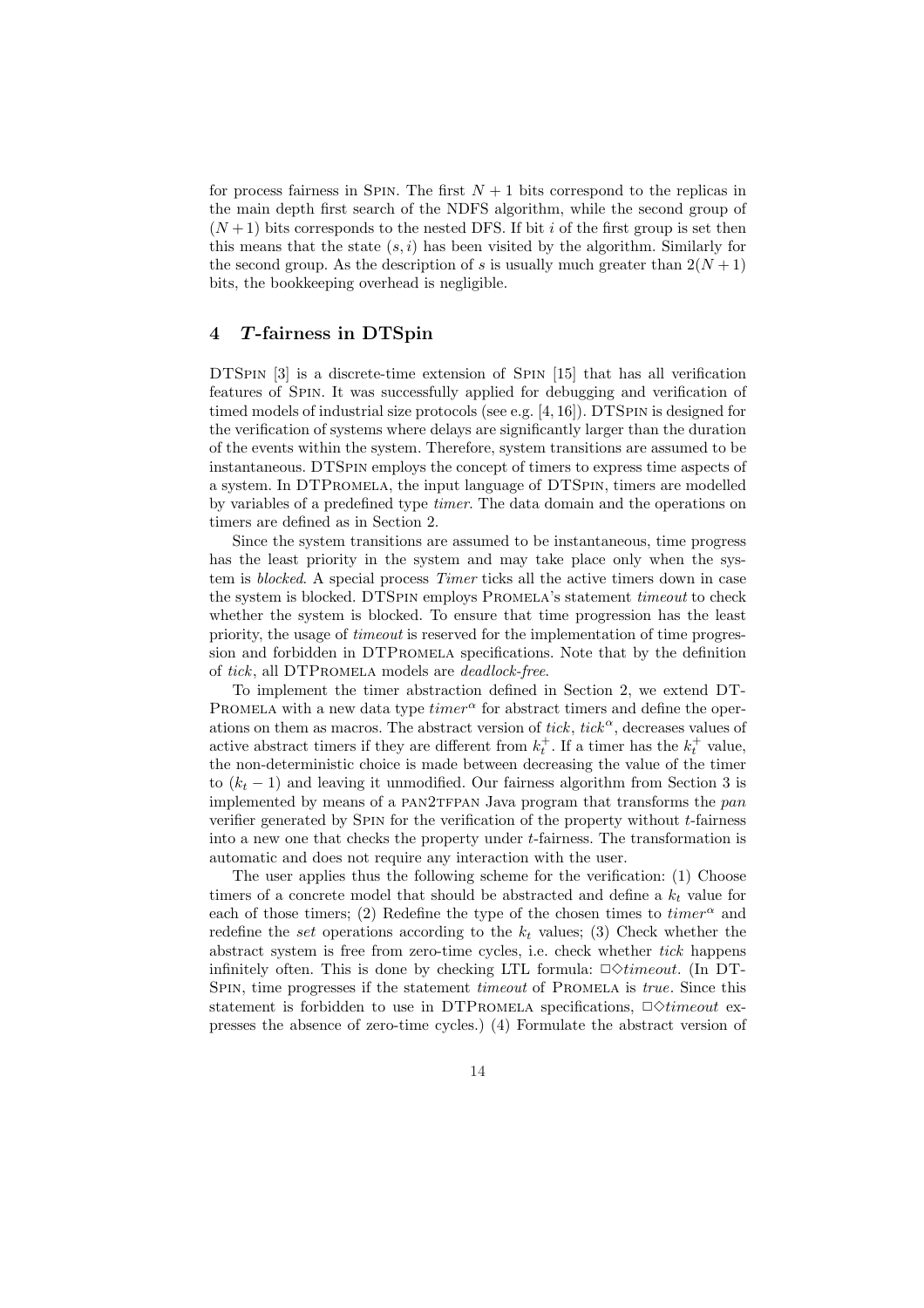for process fairness in SPIN. The first  $N + 1$  bits correspond to the replicas in the main depth first search of the NDFS algorithm, while the second group of  $(N+1)$  bits corresponds to the nested DFS. If bit i of the first group is set then this means that the state  $(s, i)$  has been visited by the algorithm. Similarly for the second group. As the description of s is usually much greater than  $2(N+1)$ bits, the bookkeeping overhead is negligible.

### 4 T -fairness in DTSpin

DTSpin [3] is a discrete-time extension of Spin [15] that has all verification features of Spin. It was successfully applied for debugging and verification of timed models of industrial size protocols (see e.g. [4, 16]). DTSPIN is designed for the verification of systems where delays are significantly larger than the duration of the events within the system. Therefore, system transitions are assumed to be instantaneous. DTSpin employs the concept of timers to express time aspects of a system. In DTPromela, the input language of DTSpin, timers are modelled by variables of a predefined type timer. The data domain and the operations on timers are defined as in Section 2.

Since the system transitions are assumed to be instantaneous, time progress has the least priority in the system and may take place only when the system is *blocked*. A special process *Timer* ticks all the active timers down in case the system is blocked. DTSPIN employs PROMELA's statement timeout to check whether the system is blocked. To ensure that time progression has the least priority, the usage of timeout is reserved for the implementation of time progression and forbidden in DTPromela specifications. Note that by the definition of tick, all DTPromela models are deadlock-free.

To implement the timer abstraction defined in Section 2, we extend DT-PROMELA with a new data type  $timer^{\alpha}$  for abstract timers and define the operations on them as macros. The abstract version of tick, tick<sup> $\alpha$ </sup>, decreases values of active abstract timers if they are different from  $k_t^+$ . If a timer has the  $k_t^+$  value, the non-deterministic choice is made between decreasing the value of the timer to  $(k_t - 1)$  and leaving it unmodified. Our fairness algorithm from Section 3 is implemented by means of a PAN2TFPAN Java program that transforms the  $pan$ verifier generated by SPIN for the verification of the property without  $t$ -fairness into a new one that checks the property under t-fairness. The transformation is automatic and does not require any interaction with the user.

The user applies thus the following scheme for the verification: (1) Choose timers of a concrete model that should be abstracted and define a  $k_t$  value for each of those timers; (2) Redefine the type of the chosen times to  $timer^{\alpha}$  and redefine the set operations according to the  $k_t$  values; (3) Check whether the abstract system is free from zero-time cycles, i.e. check whether tick happens infinitely often. This is done by checking LTL formula:  $\Box \Diamond timeout$ . (In DT-SPIN, time progresses if the statement *timeout* of PROMELA is *true*. Since this statement is forbidden to use in DTPROMELA specifications,  $\Box \Diamond timeout$  expresses the absence of zero-time cycles.) (4) Formulate the abstract version of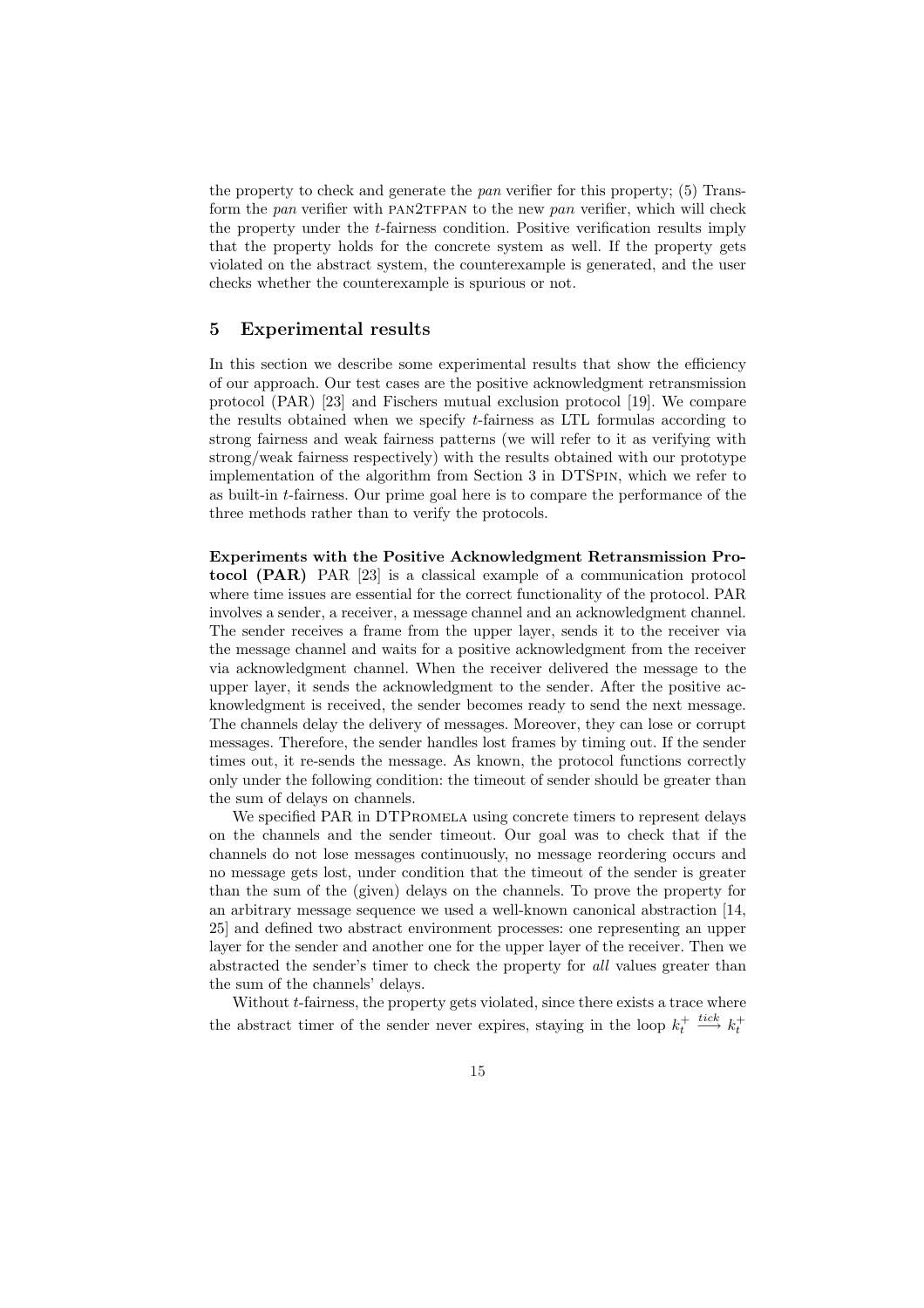the property to check and generate the *pan* verifier for this property;  $(5)$  Transform the pan verifier with PAN2TFPAN to the new pan verifier, which will check the property under the  $t$ -fairness condition. Positive verification results imply that the property holds for the concrete system as well. If the property gets violated on the abstract system, the counterexample is generated, and the user checks whether the counterexample is spurious or not.

### 5 Experimental results

In this section we describe some experimental results that show the efficiency of our approach. Our test cases are the positive acknowledgment retransmission protocol (PAR) [23] and Fischers mutual exclusion protocol [19]. We compare the results obtained when we specify  $t$ -fairness as LTL formulas according to strong fairness and weak fairness patterns (we will refer to it as verifying with strong/weak fairness respectively) with the results obtained with our prototype implementation of the algorithm from Section 3 in DTSpin, which we refer to as built-in t-fairness. Our prime goal here is to compare the performance of the three methods rather than to verify the protocols.

Experiments with the Positive Acknowledgment Retransmission Protocol (PAR) PAR [23] is a classical example of a communication protocol where time issues are essential for the correct functionality of the protocol. PAR involves a sender, a receiver, a message channel and an acknowledgment channel. The sender receives a frame from the upper layer, sends it to the receiver via the message channel and waits for a positive acknowledgment from the receiver via acknowledgment channel. When the receiver delivered the message to the upper layer, it sends the acknowledgment to the sender. After the positive acknowledgment is received, the sender becomes ready to send the next message. The channels delay the delivery of messages. Moreover, they can lose or corrupt messages. Therefore, the sender handles lost frames by timing out. If the sender times out, it re-sends the message. As known, the protocol functions correctly only under the following condition: the timeout of sender should be greater than the sum of delays on channels.

We specified PAR in DTPROMELA using concrete timers to represent delays on the channels and the sender timeout. Our goal was to check that if the channels do not lose messages continuously, no message reordering occurs and no message gets lost, under condition that the timeout of the sender is greater than the sum of the (given) delays on the channels. To prove the property for an arbitrary message sequence we used a well-known canonical abstraction [14, 25] and defined two abstract environment processes: one representing an upper layer for the sender and another one for the upper layer of the receiver. Then we abstracted the sender's timer to check the property for all values greater than the sum of the channels' delays.

Without  $t$ -fairness, the property gets violated, since there exists a trace where the abstract timer of the sender never expires, staying in the loop  $k_t^+ \stackrel{tick}{\longrightarrow} k_t^+$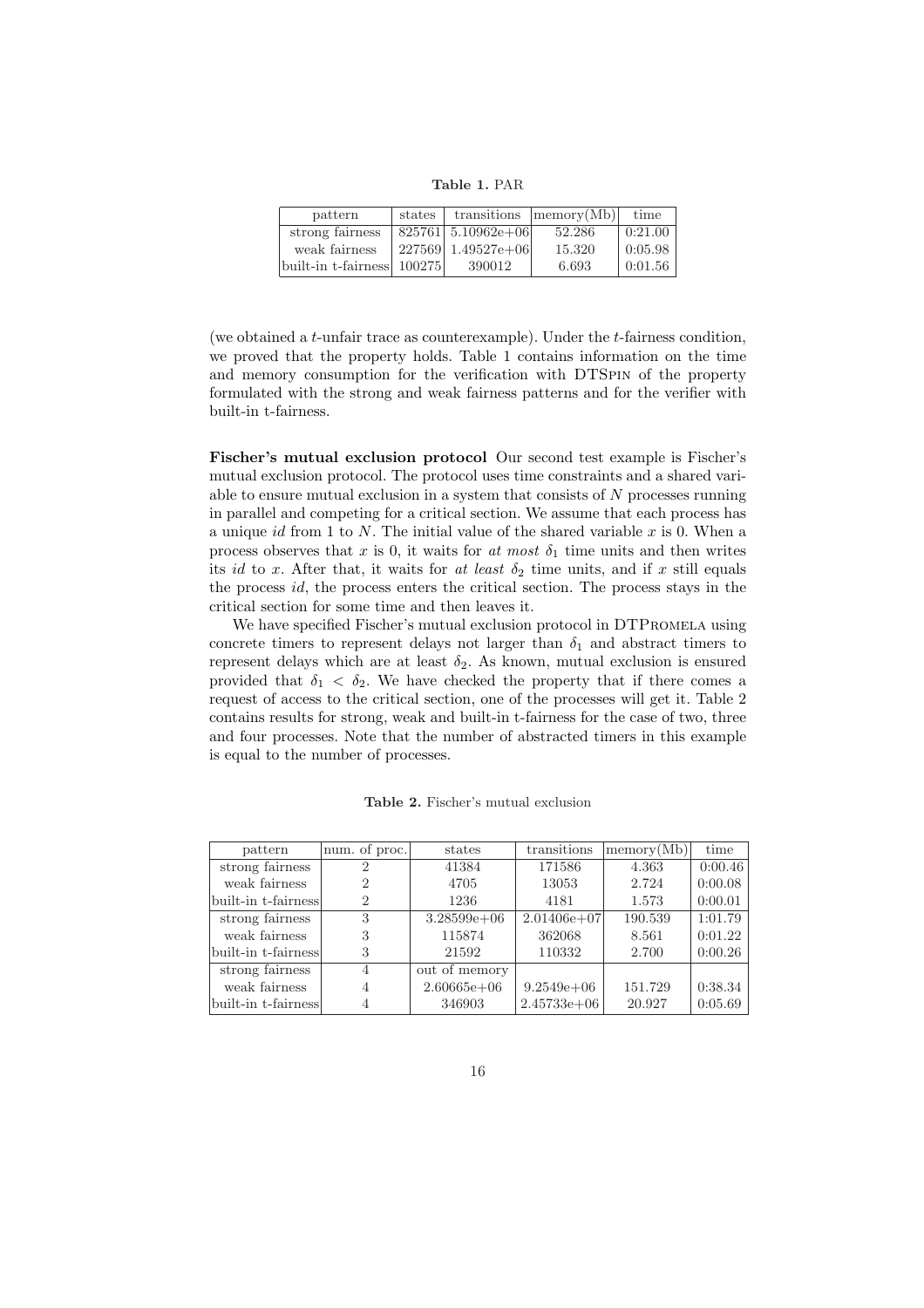Table 1. PAR

| pattern                    | states | transitions          | $ \text{memory}(Mb) $ | time    |
|----------------------------|--------|----------------------|-----------------------|---------|
| strong fairness            |        | $825761$ 5.10962e+06 | 52.286                | 0:21.00 |
| weak fairness              |        | $227569$ 1.49527e+06 | 15.320                | 0:05.98 |
| built-in t-fairness 100275 |        | 390012               | 6.693                 | 0:01.56 |

(we obtained a t-unfair trace as counterexample). Under the t-fairness condition, we proved that the property holds. Table 1 contains information on the time and memory consumption for the verification with DTSpin of the property formulated with the strong and weak fairness patterns and for the verifier with built-in t-fairness.

Fischer's mutual exclusion protocol Our second test example is Fischer's mutual exclusion protocol. The protocol uses time constraints and a shared variable to ensure mutual exclusion in a system that consists of  $N$  processes running in parallel and competing for a critical section. We assume that each process has a unique id from 1 to N. The initial value of the shared variable  $x$  is 0. When a process observes that x is 0, it waits for at most  $\delta_1$  time units and then writes its id to x. After that, it waits for at least  $\delta_2$  time units, and if x still equals the process id, the process enters the critical section. The process stays in the critical section for some time and then leaves it.

We have specified Fischer's mutual exclusion protocol in DTPROMELA using concrete timers to represent delays not larger than  $\delta_1$  and abstract timers to represent delays which are at least  $\delta_2$ . As known, mutual exclusion is ensured provided that  $\delta_1 < \delta_2$ . We have checked the property that if there comes a request of access to the critical section, one of the processes will get it. Table 2 contains results for strong, weak and built-in t-fairness for the case of two, three and four processes. Note that the number of abstracted timers in this example is equal to the number of processes.

| pattern             | num. of proc.  | states          | transitions     | memory(Mb) | time    |
|---------------------|----------------|-----------------|-----------------|------------|---------|
| strong fairness     | 2              | 41384           | 171586          | 4.363      | 0:00.46 |
| weak fairness       | 2              | 4705            | 13053           | 2.724      | 0:00.08 |
| built-in t-fairness | $\overline{2}$ | 1236            | 4181            | 1.573      | 0:00.01 |
| strong fairness     | 3              | $3.28599e + 06$ | $2.01406e + 07$ | 190.539    | 1:01.79 |
| weak fairness       | 3              | 115874          | 362068          | 8.561      | 0:01.22 |
| built-in t-fairness | 3              | 21592           | 110332          | 2.700      | 0:00.26 |
| strong fairness     | $\overline{4}$ | out of memory   |                 |            |         |
| weak fairness       | 4              | $2.60665e + 06$ | $9.2549e + 06$  | 151.729    | 0:38.34 |
| built-in t-fairness | 4              | 346903          | $2.45733e+06$   | 20.927     | 0:05.69 |

Table 2. Fischer's mutual exclusion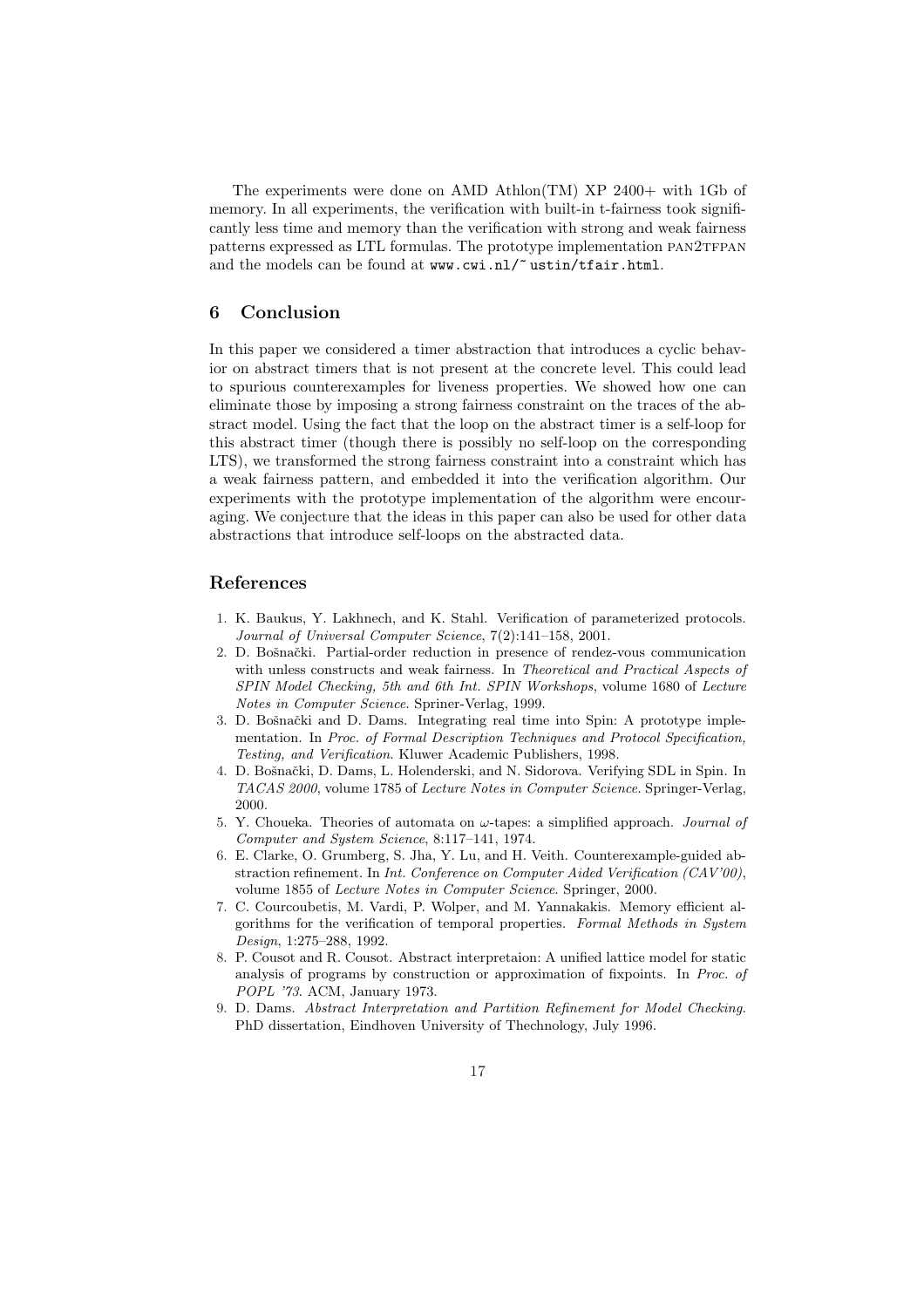The experiments were done on AMD Athlon(TM) XP 2400+ with 1Gb of memory. In all experiments, the verification with built-in t-fairness took significantly less time and memory than the verification with strong and weak fairness patterns expressed as LTL formulas. The prototype implementation PAN2TFPAN and the models can be found at www.cwi.nl/"ustin/tfair.html.

### 6 Conclusion

In this paper we considered a timer abstraction that introduces a cyclic behavior on abstract timers that is not present at the concrete level. This could lead to spurious counterexamples for liveness properties. We showed how one can eliminate those by imposing a strong fairness constraint on the traces of the abstract model. Using the fact that the loop on the abstract timer is a self-loop for this abstract timer (though there is possibly no self-loop on the corresponding LTS), we transformed the strong fairness constraint into a constraint which has a weak fairness pattern, and embedded it into the verification algorithm. Our experiments with the prototype implementation of the algorithm were encouraging. We conjecture that the ideas in this paper can also be used for other data abstractions that introduce self-loops on the abstracted data.

### References

- 1. K. Baukus, Y. Lakhnech, and K. Stahl. Verification of parameterized protocols. Journal of Universal Computer Science, 7(2):141–158, 2001.
- 2. D. Bošnački. Partial-order reduction in presence of rendez-vous communication with unless constructs and weak fairness. In Theoretical and Practical Aspects of SPIN Model Checking, 5th and 6th Int. SPIN Workshops, volume 1680 of Lecture Notes in Computer Science. Spriner-Verlag, 1999.
- 3. D. Bošnački and D. Dams. Integrating real time into Spin: A prototype implementation. In Proc. of Formal Description Techniques and Protocol Specification, Testing, and Verification. Kluwer Academic Publishers, 1998.
- 4. D. Bošnački, D. Dams, L. Holenderski, and N. Sidorova. Verifying SDL in Spin. In TACAS 2000, volume 1785 of Lecture Notes in Computer Science. Springer-Verlag, 2000.
- 5. Y. Choueka. Theories of automata on  $\omega$ -tapes: a simplified approach. *Journal of* Computer and System Science, 8:117–141, 1974.
- 6. E. Clarke, O. Grumberg, S. Jha, Y. Lu, and H. Veith. Counterexample-guided abstraction refinement. In Int. Conference on Computer Aided Verification (CAV'00), volume 1855 of Lecture Notes in Computer Science. Springer, 2000.
- 7. C. Courcoubetis, M. Vardi, P. Wolper, and M. Yannakakis. Memory efficient algorithms for the verification of temporal properties. Formal Methods in System Design, 1:275–288, 1992.
- 8. P. Cousot and R. Cousot. Abstract interpretaion: A unified lattice model for static analysis of programs by construction or approximation of fixpoints. In Proc. of POPL '73. ACM, January 1973.
- 9. D. Dams. Abstract Interpretation and Partition Refinement for Model Checking. PhD dissertation, Eindhoven University of Thechnology, July 1996.